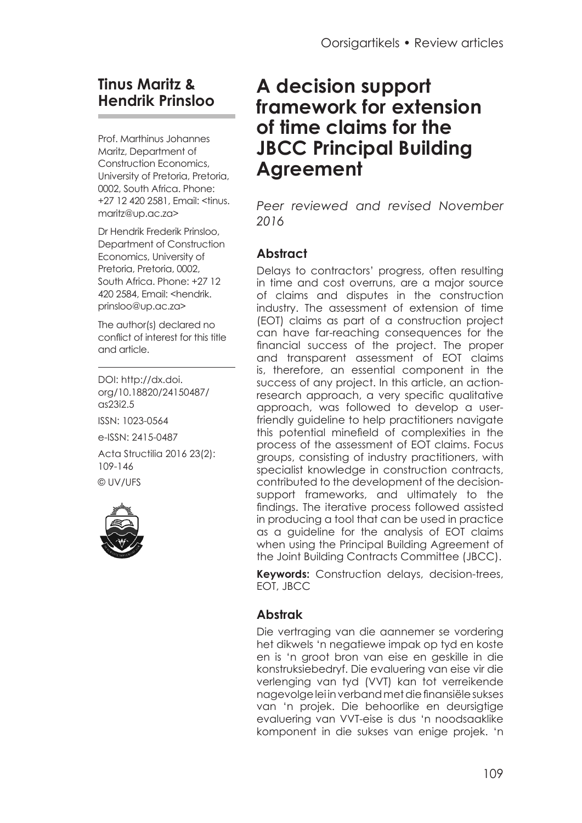# **Tinus Maritz & Hendrik Prinsloo**

Prof. Marthinus Johannes Maritz, Department of Construction Economics, University of Pretoria, Pretoria, 0002, South Africa. Phone: +27 12 420 2581, Email: [<tinus.](mailto:tinus.maritz@up.ac.za) [maritz@up.ac.za](mailto:tinus.maritz@up.ac.za)>

Dr Hendrik Frederik Prinsloo, Department of Construction Economics, University of Pretoria, Pretoria, 0002, South Africa. Phone: +27 12 420 2584, Email: [<hendrik.](mailto:hendrik.prinsloo@up.ac.za) [prinsloo@up.ac.za](mailto:hendrik.prinsloo@up.ac.za)>

The author(s) declared no conflict of interest for this title and article.

DOI: [http://dx.doi.](http://dx.doi.org/10.18820/24150487/as23i2.5) [org/10.18820/24150487/](http://dx.doi.org/10.18820/24150487/as23i2.5) [as23i2.5](http://dx.doi.org/10.18820/24150487/as23i2.5) ISSN: 1023-0564 e-ISSN: 2415-0487 Acta Structilia 2016 23(2): 109-146 © UV/UFS



# **A decision support framework for extension of time claims for the JBCC Principal Building Agreement**

*Peer reviewed and revised November 2016*

## **Abstract**

Delays to contractors' progress, often resulting in time and cost overruns, are a major source of claims and disputes in the construction industry. The assessment of extension of time (EOT) claims as part of a construction project can have far-reaching consequences for the financial success of the project. The proper and transparent assessment of EOT claims is, therefore, an essential component in the success of any project. In this article, an actionresearch approach, a very specific qualitative approach, was followed to develop a userfriendly guideline to help practitioners navigate this potential minefield of complexities in the process of the assessment of EOT claims. Focus groups, consisting of industry practitioners, with specialist knowledge in construction contracts, contributed to the development of the decisionsupport frameworks, and ultimately to the findings. The iterative process followed assisted in producing a tool that can be used in practice as a guideline for the analysis of EOT claims when using the Principal Building Agreement of the Joint Building Contracts Committee (JBCC).

**Keywords:** Construction delays, decision-trees, EOT, JBCC

#### **Abstrak**

Die vertraging van die aannemer se vordering het dikwels 'n negatiewe impak op tyd en koste en is 'n groot bron van eise en geskille in die konstruksiebedryf. Die evaluering van eise vir die verlenging van tyd (VVT) kan tot verreikende nagevolge lei in verband met die finansiële sukses van 'n projek. Die behoorlike en deursigtige evaluering van VVT-eise is dus 'n noodsaaklike komponent in die sukses van enige projek. 'n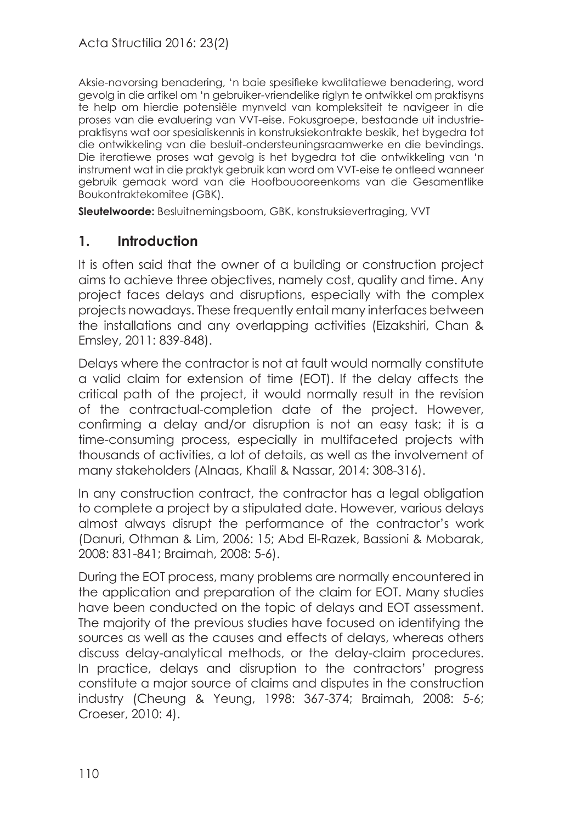Aksie-navorsing benadering, 'n baie spesifieke kwalitatiewe benadering, word gevolg in die artikel om 'n gebruiker-vriendelike riglyn te ontwikkel om praktisyns te help om hierdie potensiële mynveld van kompleksiteit te navigeer in die proses van die evaluering van VVT-eise. Fokusgroepe, bestaande uit industriepraktisyns wat oor spesialiskennis in konstruksiekontrakte beskik, het bygedra tot die ontwikkeling van die besluit-ondersteuningsraamwerke en die bevindings. Die iteratiewe proses wat gevolg is het bygedra tot die ontwikkeling van 'n instrument wat in die praktyk gebruik kan word om VVT-eise te ontleed wanneer gebruik gemaak word van die Hoofbouooreenkoms van die Gesamentlike Boukontraktekomitee (GBK).

**Sleutelwoorde:** Besluitnemingsboom, GBK, konstruksievertraging, VVT

#### **1. Introduction**

It is often said that the owner of a building or construction project aims to achieve three objectives, namely cost, quality and time. Any project faces delays and disruptions, especially with the complex projects nowadays. These frequently entail many interfaces between the installations and any overlapping activities (Eizakshiri, Chan & Emsley, 2011: 839-848).

Delays where the contractor is not at fault would normally constitute a valid claim for extension of time (EOT). If the delay affects the critical path of the project, it would normally result in the revision of the contractual-completion date of the project. However, confirming a delay and/or disruption is not an easy task; it is a time-consuming process, especially in multifaceted projects with thousands of activities, a lot of details, as well as the involvement of many stakeholders (Alnaas, Khalil & Nassar, 2014: 308-316).

In any construction contract, the contractor has a legal obligation to complete a project by a stipulated date. However, various delays almost always disrupt the performance of the contractor's work (Danuri, Othman & Lim, 2006: 15; Abd El-Razek, Bassioni & Mobarak, 2008: 831-841; Braimah, 2008: 5-6).

During the EOT process, many problems are normally encountered in the application and preparation of the claim for EOT. Many studies have been conducted on the topic of delays and EOT assessment. The majority of the previous studies have focused on identifying the sources as well as the causes and effects of delays, whereas others discuss delay-analytical methods, or the delay-claim procedures. In practice, delays and disruption to the contractors' progress constitute a major source of claims and disputes in the construction industry (Cheung & Yeung, 1998: 367-374; Braimah, 2008: 5-6; Croeser, 2010: 4).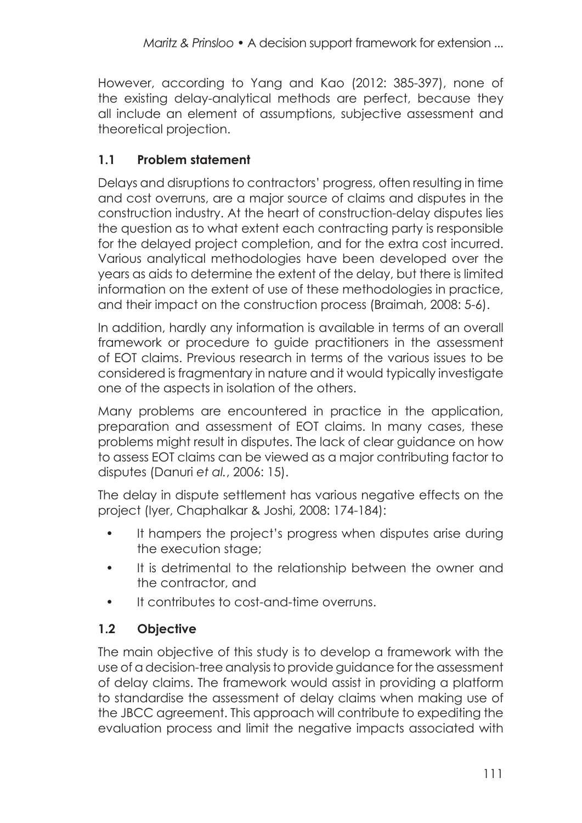However, according to Yang and Kao (2012: 385-397), none of the existing delay-analytical methods are perfect, because they all include an element of assumptions, subjective assessment and theoretical projection.

## **1.1 Problem statement**

Delays and disruptions to contractors' progress, often resulting in time and cost overruns, are a major source of claims and disputes in the construction industry. At the heart of construction-delay disputes lies the question as to what extent each contracting party is responsible for the delayed project completion, and for the extra cost incurred. Various analytical methodologies have been developed over the years as aids to determine the extent of the delay, but there is limited information on the extent of use of these methodologies in practice, and their impact on the construction process (Braimah, 2008: 5-6).

In addition, hardly any information is available in terms of an overall framework or procedure to guide practitioners in the assessment of EOT claims. Previous research in terms of the various issues to be considered is fragmentary in nature and it would typically investigate one of the aspects in isolation of the others.

Many problems are encountered in practice in the application, preparation and assessment of EOT claims. In many cases, these problems might result in disputes. The lack of clear guidance on how to assess EOT claims can be viewed as a major contributing factor to disputes (Danuri *et al.*, 2006: 15).

The delay in dispute settlement has various negative effects on the project (Iyer, Chaphalkar & Joshi, 2008: 174-184):

- It hampers the project's progress when disputes arise during the execution stage;
- It is detrimental to the relationship between the owner and the contractor, and
- It contributes to cost-and-time overruns.

# **1.2 Objective**

The main objective of this study is to develop a framework with the use of a decision-tree analysis to provide guidance for the assessment of delay claims. The framework would assist in providing a platform to standardise the assessment of delay claims when making use of the JBCC agreement. This approach will contribute to expediting the evaluation process and limit the negative impacts associated with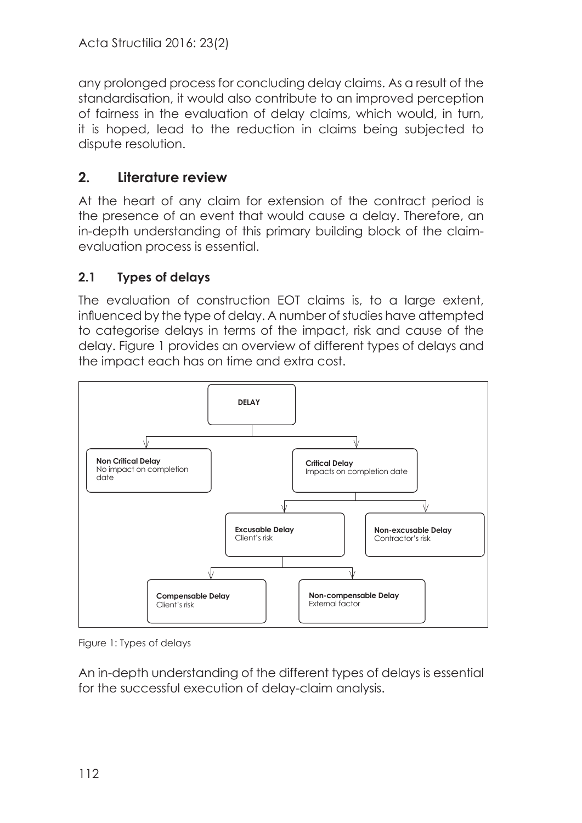any prolonged process for concluding delay claims. As a result of the standardisation, it would also contribute to an improved perception of fairness in the evaluation of delay claims, which would, in turn, it is hoped, lead to the reduction in claims being subjected to dispute resolution.

# **2. Literature review**

At the heart of any claim for extension of the contract period is the presence of an event that would cause a delay. Therefore, an in-depth understanding of this primary building block of the claimevaluation process is essential.

# **2.1 Types of delays**

The evaluation of construction EOT claims is, to a large extent, influenced by the type of delay. A number of studies have attempted to categorise delays in terms of the impact, risk and cause of the delay. Figure 1 provides an overview of different types of delays and the impact each has on time and extra cost.



Figure 1: Types of delays

An in-depth understanding of the different types of delays is essential for the successful execution of delay-claim analysis.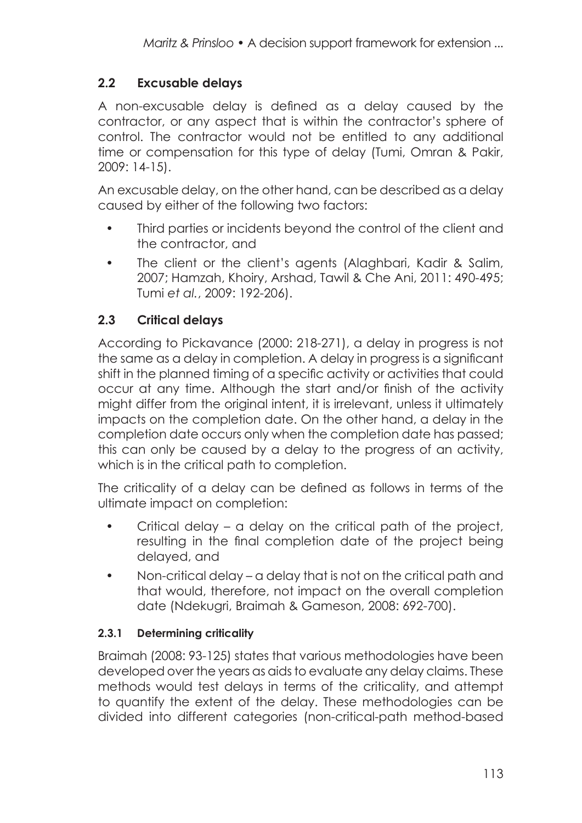## **2.2 Excusable delays**

A non-excusable delay is defined as a delay caused by the contractor, or any aspect that is within the contractor's sphere of control. The contractor would not be entitled to any additional time or compensation for this type of delay (Tumi, Omran & Pakir, 2009: 14-15).

An excusable delay, on the other hand, can be described as a delay caused by either of the following two factors:

- Third parties or incidents beyond the control of the client and the contractor, and
- The client or the client's agents (Alaghbari, Kadir & Salim, 2007; Hamzah, Khoiry, Arshad, Tawil & Che Ani, 2011: 490-495; Tumi *et al.*, 2009: 192-206).

## **2.3 Critical delays**

According to Pickavance (2000: 218-271), a delay in progress is not the same as a delay in completion. A delay in progress is a significant shift in the planned timing of a specific activity or activities that could occur at any time. Although the start and/or finish of the activity might differ from the original intent, it is irrelevant, unless it ultimately impacts on the completion date. On the other hand, a delay in the completion date occurs only when the completion date has passed; this can only be caused by a delay to the progress of an activity, which is in the critical path to completion.

The criticality of a delay can be defined as follows in terms of the ultimate impact on completion:

- Critical delay a delay on the critical path of the project, resulting in the final completion date of the project being delayed, and
- Non-critical delay a delay that is not on the critical path and that would, therefore, not impact on the overall completion date (Ndekugri, Braimah & Gameson, 2008: 692-700).

#### **2.3.1 Determining criticality**

Braimah (2008: 93-125) states that various methodologies have been developed over the years as aids to evaluate any delay claims. These methods would test delays in terms of the criticality, and attempt to quantify the extent of the delay. These methodologies can be divided into different categories (non-critical-path method-based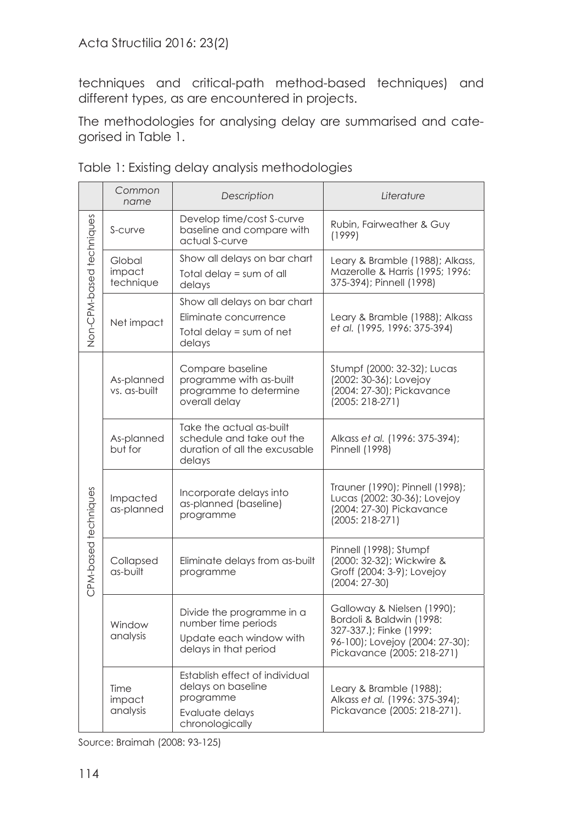techniques and critical-path method-based techniques) and different types, as are encountered in projects.

The methodologies for analysing delay are summarised and categorised in Table 1.

|                          | Common<br>name                | Description                                                                                             | Literature                                                                                                                                         |
|--------------------------|-------------------------------|---------------------------------------------------------------------------------------------------------|----------------------------------------------------------------------------------------------------------------------------------------------------|
| Non-CPM-based techniques | S-curve                       | Develop time/cost S-curve<br>baseline and compare with<br>actual S-curve                                | Rubin, Fairweather & Guy<br>(1999)                                                                                                                 |
|                          | Global<br>impact<br>technique | Show all delays on bar chart<br>Total delay = sum of all<br>delays                                      | Leary & Bramble (1988); Alkass,<br>Mazerolle & Harris (1995; 1996:<br>375-394); Pinnell (1998)                                                     |
|                          | Net impact                    | Show all delays on bar chart<br>Eliminate concurrence<br>Total delay $=$ sum of net<br>delays           | Leary & Bramble (1988); Alkass<br>et al. (1995, 1996: 375-394)                                                                                     |
| CPM-based techniques     | As-planned<br>vs. as-built    | Compare baseline<br>programme with as-built<br>programme to determine<br>overall delay                  | Stumpf (2000: 32-32); Lucas<br>(2002: 30-36); Lovejoy<br>(2004: 27-30); Pickavance<br>$(2005: 218-271)$                                            |
|                          | As-planned<br>but for         | Take the actual as-built<br>schedule and take out the<br>duration of all the excusable<br>delays        | Alkass et al. (1996: 375-394);<br><b>Pinnell (1998)</b>                                                                                            |
|                          | Impacted<br>as-planned        | Incorporate delays into<br>as-planned (baseline)<br>programme                                           | Trauner (1990); Pinnell (1998);<br>Lucas (2002: 30-36); Lovejoy<br>(2004: 27-30) Pickavance<br>$(2005: 218-271)$                                   |
|                          | Collapsed<br>as-built         | Eliminate delays from as-built<br>programme                                                             | Pinnell (1998); Stumpf<br>(2000: 32-32); Wickwire &<br>Groff (2004: 3-9); Lovejoy<br>$(2004: 27-30)$                                               |
|                          | Window<br>analysis            | Divide the programme in a<br>number time periods<br>Update each window with<br>delays in that period    | Galloway & Nielsen (1990);<br>Bordoli & Baldwin (1998:<br>327-337.); Finke (1999:<br>96-100); Lovejoy (2004: 27-30);<br>Pickavance (2005: 218-271) |
|                          | Time<br>impact<br>analysis    | Establish effect of individual<br>delays on baseline<br>programme<br>Evaluate delays<br>chronologically | Leary & Bramble (1988);<br>Alkass et al. (1996: 375-394);<br>Pickavance (2005: 218-271).                                                           |

Table 1: Existing delay analysis methodologies

Source: Braimah (2008: 93-125)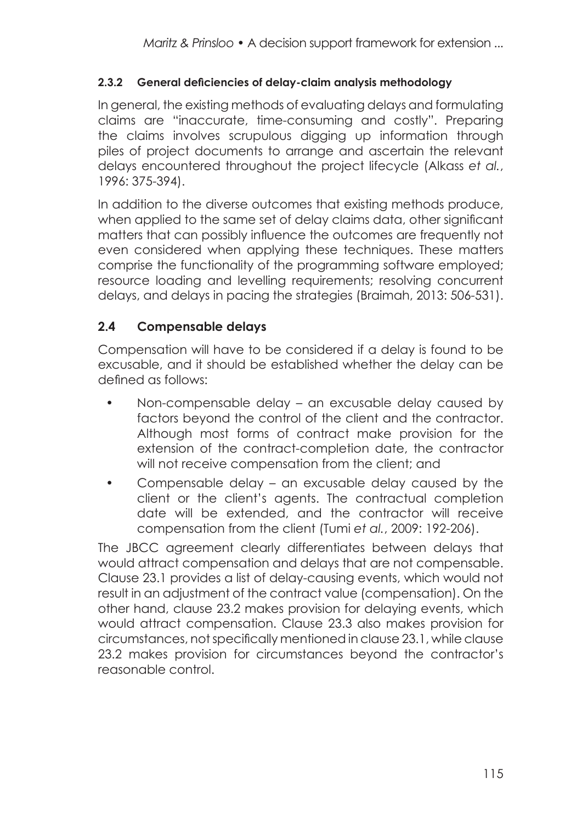#### **2.3.2 General deficiencies of delay-claim analysis methodology**

In general, the existing methods of evaluating delays and formulating claims are "inaccurate, time-consuming and costly". Preparing the claims involves scrupulous digging up information through piles of project documents to arrange and ascertain the relevant delays encountered throughout the project lifecycle (Alkass *et al.*, 1996: 375-394).

In addition to the diverse outcomes that existing methods produce, when applied to the same set of delay claims data, other significant matters that can possibly influence the outcomes are frequently not even considered when applying these techniques. These matters comprise the functionality of the programming software employed; resource loading and levelling requirements; resolving concurrent delays, and delays in pacing the strategies (Braimah, 2013: 506-531).

## **2.4 Compensable delays**

Compensation will have to be considered if a delay is found to be excusable, and it should be established whether the delay can be defined as follows:

- Non-compensable delay an excusable delay caused by factors beyond the control of the client and the contractor. Although most forms of contract make provision for the extension of the contract-completion date, the contractor will not receive compensation from the client; and
- Compensable delay an excusable delay caused by the client or the client's agents. The contractual completion date will be extended, and the contractor will receive compensation from the client (Tumi *et al.*, 2009: 192-206).

The JBCC agreement clearly differentiates between delays that would attract compensation and delays that are not compensable. Clause 23.1 provides a list of delay-causing events, which would not result in an adjustment of the contract value (compensation). On the other hand, clause 23.2 makes provision for delaying events, which would attract compensation. Clause 23.3 also makes provision for circumstances, not specifically mentioned in clause 23.1, while clause 23.2 makes provision for circumstances beyond the contractor's reasonable control.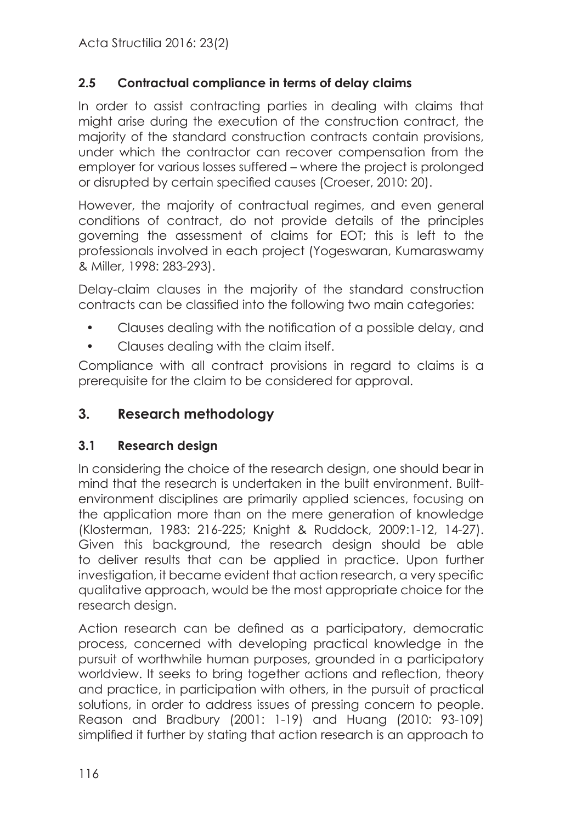## **2.5 Contractual compliance in terms of delay claims**

In order to assist contracting parties in dealing with claims that might arise during the execution of the construction contract, the majority of the standard construction contracts contain provisions, under which the contractor can recover compensation from the employer for various losses suffered – where the project is prolonged or disrupted by certain specified causes (Croeser, 2010: 20).

However, the majority of contractual regimes, and even general conditions of contract, do not provide details of the principles governing the assessment of claims for EOT; this is left to the professionals involved in each project (Yogeswaran, Kumaraswamy & Miller, 1998: 283-293).

Delay-claim clauses in the majority of the standard construction contracts can be classified into the following two main categories:

- Clauses dealing with the notification of a possible delay, and
- Clauses dealing with the claim itself.

Compliance with all contract provisions in regard to claims is a prerequisite for the claim to be considered for approval.

## **3. Research methodology**

#### **3.1 Research design**

In considering the choice of the research design, one should bear in mind that the research is undertaken in the built environment. Builtenvironment disciplines are primarily applied sciences, focusing on the application more than on the mere generation of knowledge (Klosterman, 1983: 216-225; Knight & Ruddock, 2009:1-12, 14-27). Given this background, the research design should be able to deliver results that can be applied in practice. Upon further investigation, it became evident that action research, a very specific qualitative approach, would be the most appropriate choice for the research design.

Action research can be defined as a participatory, democratic process, concerned with developing practical knowledge in the pursuit of worthwhile human purposes, grounded in a participatory worldview. It seeks to bring together actions and reflection, theory and practice, in participation with others, in the pursuit of practical solutions, in order to address issues of pressing concern to people. Reason and Bradbury (2001: 1-19) and Huang (2010: 93-109) simplified it further by stating that action research is an approach to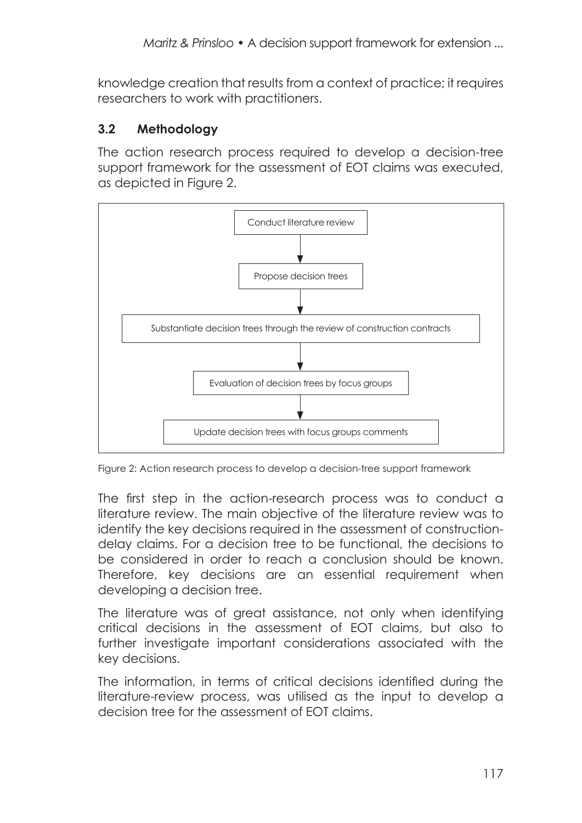knowledge creation that results from a context of practice; it requires researchers to work with practitioners.

## **3.2 Methodology**

The action research process required to develop a decision-tree support framework for the assessment of EOT claims was executed, as depicted in Figure 2.



Figure 2: Action research process to develop a decision-tree support framework

The first step in the action-research process was to conduct a literature review. The main objective of the literature review was to identify the key decisions required in the assessment of constructiondelay claims. For a decision tree to be functional, the decisions to be considered in order to reach a conclusion should be known. Therefore, key decisions are an essential requirement when developing a decision tree.

The literature was of great assistance, not only when identifying critical decisions in the assessment of EOT claims, but also to further investigate important considerations associated with the key decisions.

The information, in terms of critical decisions identified during the literature-review process, was utilised as the input to develop a decision tree for the assessment of EOT claims.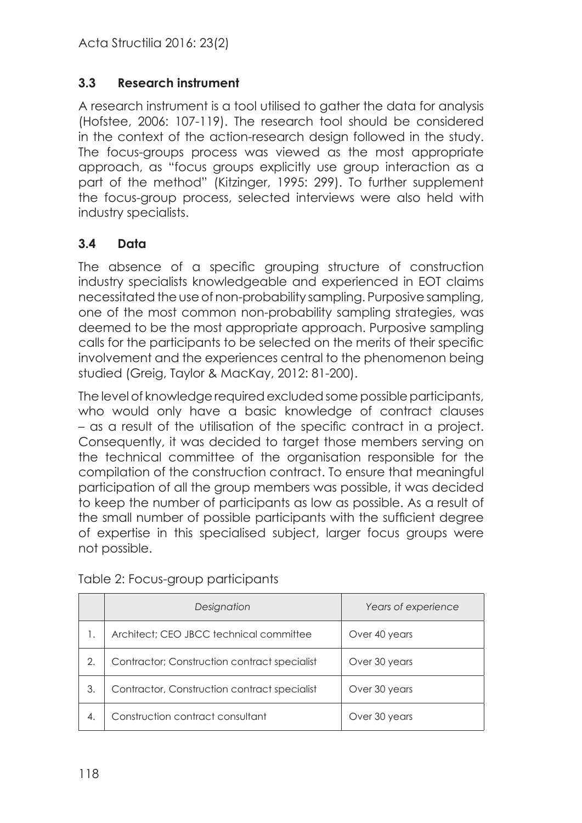#### **3.3 Research instrument**

A research instrument is a tool utilised to gather the data for analysis (Hofstee, 2006: 107-119). The research tool should be considered in the context of the action-research design followed in the study. The focus-groups process was viewed as the most appropriate approach, as "focus groups explicitly use group interaction as a part of the method" (Kitzinger, 1995: 299). To further supplement the focus-group process, selected interviews were also held with industry specialists.

## **3.4 Data**

The absence of a specific grouping structure of construction industry specialists knowledgeable and experienced in EOT claims necessitated the use of non-probability sampling. Purposive sampling, one of the most common non-probability sampling strategies, was deemed to be the most appropriate approach. Purposive sampling calls for the participants to be selected on the merits of their specific involvement and the experiences central to the phenomenon being studied (Greig, Taylor & MacKay, 2012: 81-200).

The level of knowledge required excluded some possible participants, who would only have a basic knowledge of contract clauses – as a result of the utilisation of the specific contract in a project. Consequently, it was decided to target those members serving on the technical committee of the organisation responsible for the compilation of the construction contract. To ensure that meaningful participation of all the group members was possible, it was decided to keep the number of participants as low as possible. As a result of the small number of possible participants with the sufficient degree of expertise in this specialised subject, larger focus groups were not possible.

|    | Designation                                  | Years of experience |
|----|----------------------------------------------|---------------------|
| 1. | Architect; CEO JBCC technical committee      | Over 40 years       |
| 2. | Contractor; Construction contract specialist | Over 30 years       |
| 3. | Contractor, Construction contract specialist | Over 30 years       |
| 4. | Construction contract consultant             | Over 30 years       |

Table 2: Focus-group participants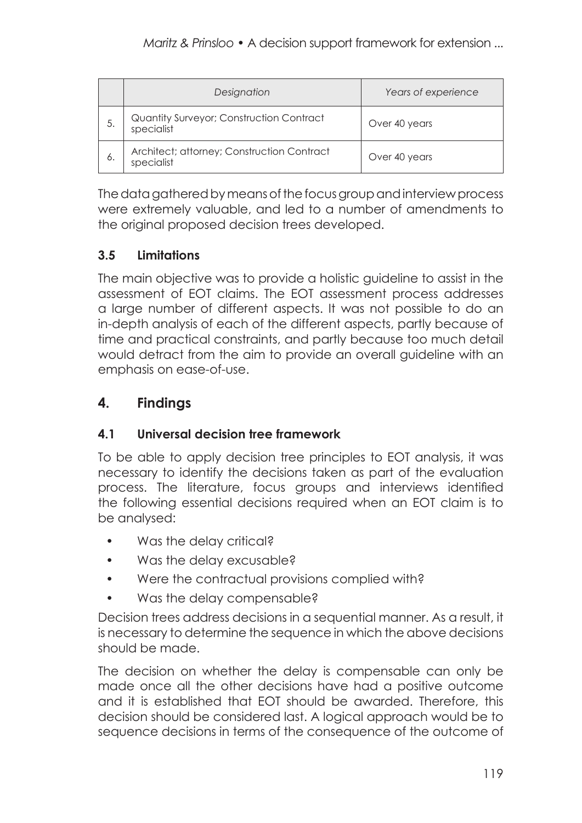|     | Designation                                              | Years of experience |
|-----|----------------------------------------------------------|---------------------|
| 5.  | Quantity Surveyor; Construction Contract<br>specialist   | Over 40 years       |
| -6. | Architect; attorney; Construction Contract<br>specialist | Over 40 years       |

The data gathered by means of the focus group and interview process were extremely valuable, and led to a number of amendments to the original proposed decision trees developed.

# **3.5 Limitations**

The main objective was to provide a holistic guideline to assist in the assessment of EOT claims. The EOT assessment process addresses a large number of different aspects. It was not possible to do an in-depth analysis of each of the different aspects, partly because of time and practical constraints, and partly because too much detail would detract from the aim to provide an overall guideline with an emphasis on ease-of-use.

## **4. Findings**

## **4.1 Universal decision tree framework**

To be able to apply decision tree principles to EOT analysis, it was necessary to identify the decisions taken as part of the evaluation process. The literature, focus groups and interviews identified the following essential decisions required when an EOT claim is to be analysed:

- Was the delay critical?
- Was the delay excusable?
- Were the contractual provisions complied with?
- Was the delay compensable?

Decision trees address decisions in a sequential manner. As a result, it is necessary to determine the sequence in which the above decisions should be made.

The decision on whether the delay is compensable can only be made once all the other decisions have had a positive outcome and it is established that EOT should be awarded. Therefore, this decision should be considered last. A logical approach would be to sequence decisions in terms of the consequence of the outcome of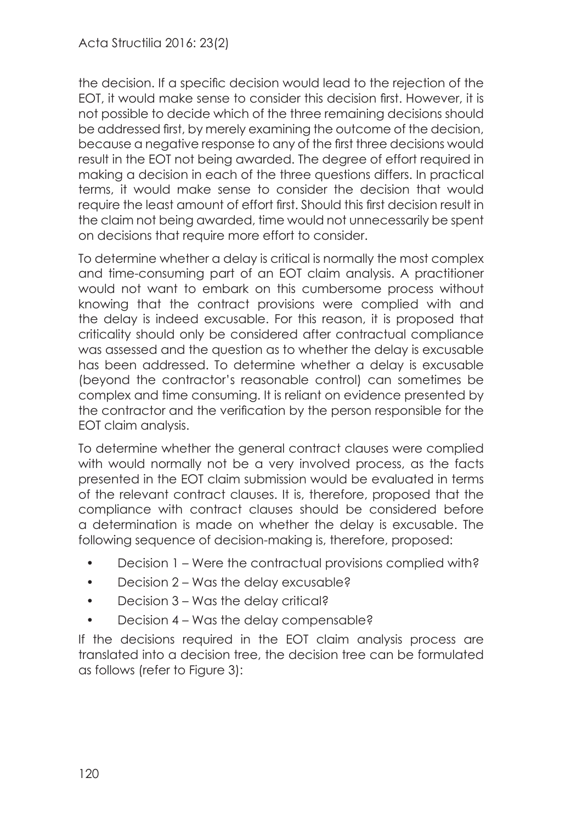the decision. If a specific decision would lead to the rejection of the EOT, it would make sense to consider this decision first. However, it is not possible to decide which of the three remaining decisions should be addressed first, by merely examining the outcome of the decision, because a negative response to any of the first three decisions would result in the EOT not being awarded. The degree of effort required in making a decision in each of the three questions differs. In practical terms, it would make sense to consider the decision that would require the least amount of effort first. Should this first decision result in the claim not being awarded, time would not unnecessarily be spent on decisions that require more effort to consider.

To determine whether a delay is critical is normally the most complex and time-consuming part of an EOT claim analysis. A practitioner would not want to embark on this cumbersome process without knowing that the contract provisions were complied with and the delay is indeed excusable. For this reason, it is proposed that criticality should only be considered after contractual compliance was assessed and the question as to whether the delay is excusable has been addressed. To determine whether a delay is excusable (beyond the contractor's reasonable control) can sometimes be complex and time consuming. It is reliant on evidence presented by the contractor and the verification by the person responsible for the EOT claim analysis.

To determine whether the general contract clauses were complied with would normally not be a very involved process, as the facts presented in the EOT claim submission would be evaluated in terms of the relevant contract clauses. It is, therefore, proposed that the compliance with contract clauses should be considered before a determination is made on whether the delay is excusable. The following sequence of decision-making is, therefore, proposed:

- Decision 1 Were the contractual provisions complied with?
- Decision 2 Was the delay excusable?
- Decision 3 Was the delay critical?
- Decision 4 Was the delay compensable?

If the decisions required in the EOT claim analysis process are translated into a decision tree, the decision tree can be formulated as follows (refer to Figure 3):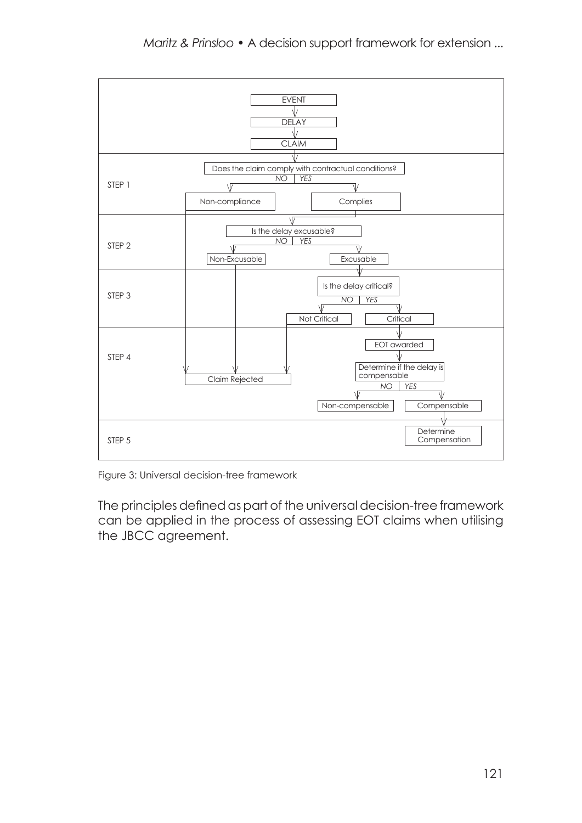

Figure 3: Universal decision-tree framework

The principles defined as part of the universal decision-tree framework can be applied in the process of assessing EOT claims when utilising the JBCC agreement.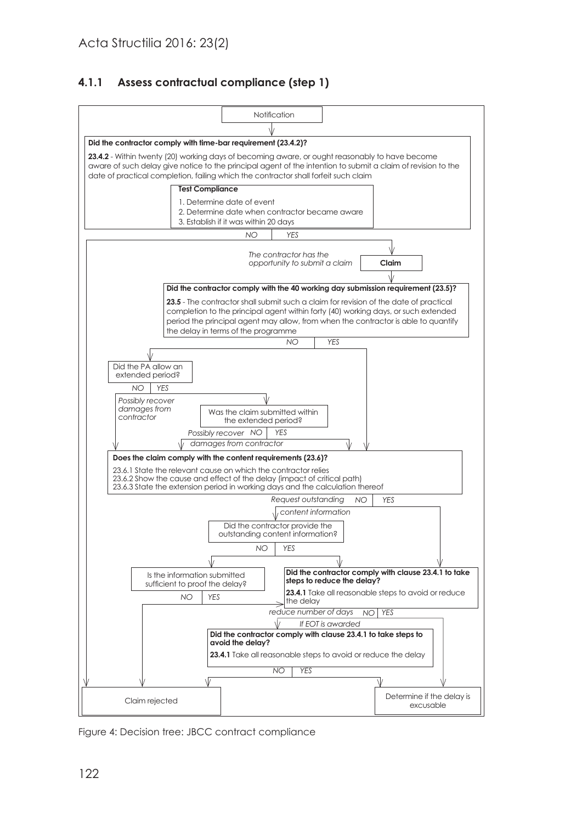#### **4.1.1 Assess contractual compliance (step 1)**



Figure 4: Decision tree: JBCC contract compliance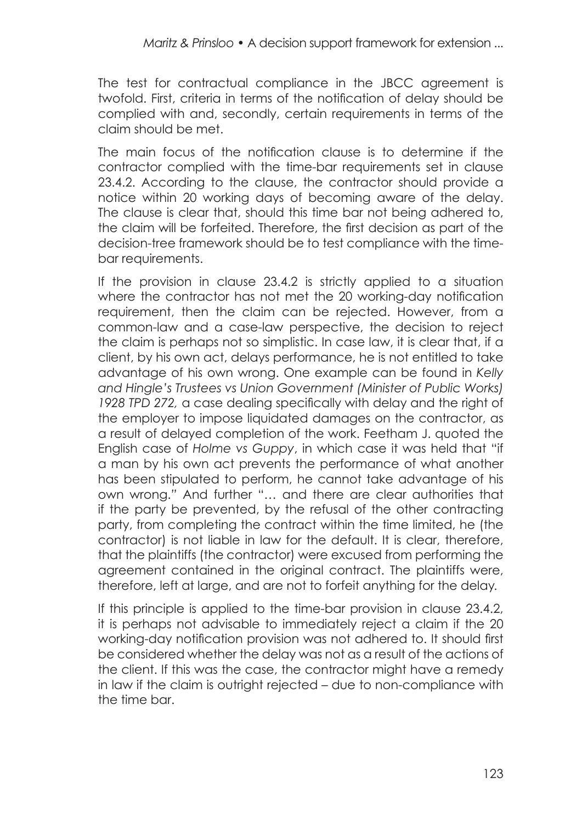The test for contractual compliance in the JBCC agreement is twofold. First, criteria in terms of the notification of delay should be complied with and, secondly, certain requirements in terms of the claim should be met.

The main focus of the notification clause is to determine if the contractor complied with the time-bar requirements set in clause 23.4.2. According to the clause, the contractor should provide a notice within 20 working days of becoming aware of the delay. The clause is clear that, should this time bar not being adhered to, the claim will be forfeited. Therefore, the first decision as part of the decision-tree framework should be to test compliance with the timebar requirements.

If the provision in clause 23.4.2 is strictly applied to a situation where the contractor has not met the 20 working-day notification requirement, then the claim can be rejected. However, from a common-law and a case-law perspective, the decision to reject the claim is perhaps not so simplistic. In case law, it is clear that, if a client, by his own act, delays performance, he is not entitled to take advantage of his own wrong. One example can be found in *Kelly and Hingle's Trustees vs Union Government (Minister of Public Works) 1928 TPD 272,* a case dealing specifically with delay and the right of the employer to impose liquidated damages on the contractor, as a result of delayed completion of the work. Feetham J. quoted the English case of *Holme vs Guppy*, in which case it was held that "if a man by his own act prevents the performance of what another has been stipulated to perform, he cannot take advantage of his own wrong.*"* And further "… and there are clear authorities that if the party be prevented, by the refusal of the other contracting party, from completing the contract within the time limited, he (the contractor) is not liable in law for the default. It is clear, therefore, that the plaintiffs (the contractor) were excused from performing the agreement contained in the original contract. The plaintiffs were, therefore, left at large, and are not to forfeit anything for the delay*.*

If this principle is applied to the time-bar provision in clause 23.4.2, it is perhaps not advisable to immediately reject a claim if the 20 working-day notification provision was not adhered to. It should first be considered whether the delay was not as a result of the actions of the client. If this was the case, the contractor might have a remedy in law if the claim is outright rejected – due to non-compliance with the time bar.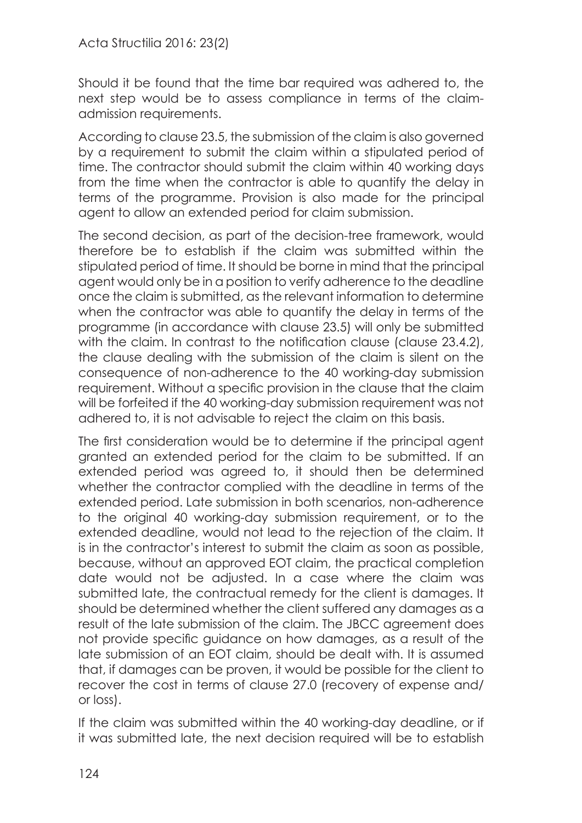Should it be found that the time bar required was adhered to, the next step would be to assess compliance in terms of the claimadmission requirements.

According to clause 23.5, the submission of the claim is also governed by a requirement to submit the claim within a stipulated period of time. The contractor should submit the claim within 40 working days from the time when the contractor is able to quantify the delay in terms of the programme. Provision is also made for the principal agent to allow an extended period for claim submission.

The second decision, as part of the decision-tree framework, would therefore be to establish if the claim was submitted within the stipulated period of time. It should be borne in mind that the principal agent would only be in a position to verify adherence to the deadline once the claim is submitted, as the relevant information to determine when the contractor was able to quantify the delay in terms of the programme (in accordance with clause 23.5) will only be submitted with the claim. In contrast to the notification clause (clause 23.4.2), the clause dealing with the submission of the claim is silent on the consequence of non-adherence to the 40 working-day submission requirement. Without a specific provision in the clause that the claim will be forfeited if the 40 working-day submission requirement was not adhered to, it is not advisable to reject the claim on this basis.

The first consideration would be to determine if the principal agent granted an extended period for the claim to be submitted. If an extended period was agreed to, it should then be determined whether the contractor complied with the deadline in terms of the extended period. Late submission in both scenarios, non-adherence to the original 40 working-day submission requirement, or to the extended deadline, would not lead to the rejection of the claim. It is in the contractor's interest to submit the claim as soon as possible, because, without an approved EOT claim, the practical completion date would not be adjusted. In a case where the claim was submitted late, the contractual remedy for the client is damages. It should be determined whether the client suffered any damages as a result of the late submission of the claim. The JBCC agreement does not provide specific guidance on how damages, as a result of the late submission of an EOT claim, should be dealt with. It is assumed that, if damages can be proven, it would be possible for the client to recover the cost in terms of clause 27.0 (recovery of expense and/ or loss).

If the claim was submitted within the 40 working-day deadline, or if it was submitted late, the next decision required will be to establish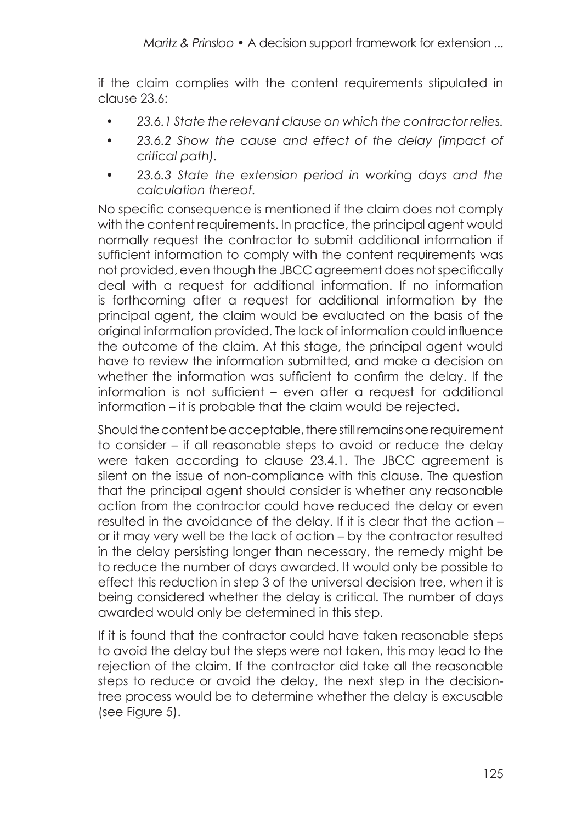if the claim complies with the content requirements stipulated in clause 23.6:

- *23.6.1 State the relevant clause on which the contractor relies.*
- *23.6.2 Show the cause and effect of the delay (impact of critical path).*
- *23.6.3 State the extension period in working days and the calculation thereof.*

No specific consequence is mentioned if the claim does not comply with the content requirements. In practice, the principal agent would normally request the contractor to submit additional information if sufficient information to comply with the content requirements was not provided, even though the JBCC agreement does not specifically deal with a request for additional information. If no information is forthcoming after a request for additional information by the principal agent, the claim would be evaluated on the basis of the original information provided. The lack of information could influence the outcome of the claim. At this stage, the principal agent would have to review the information submitted, and make a decision on whether the information was sufficient to confirm the delay. If the information is not sufficient – even after a request for additional information – it is probable that the claim would be rejected.

Should the content be acceptable, there still remains one requirement to consider – if all reasonable steps to avoid or reduce the delay were taken according to clause 23.4.1. The JBCC agreement is silent on the issue of non-compliance with this clause. The question that the principal agent should consider is whether any reasonable action from the contractor could have reduced the delay or even resulted in the avoidance of the delay. If it is clear that the action – or it may very well be the lack of action – by the contractor resulted in the delay persisting longer than necessary, the remedy might be to reduce the number of days awarded. It would only be possible to effect this reduction in step 3 of the universal decision tree, when it is being considered whether the delay is critical. The number of days awarded would only be determined in this step.

If it is found that the contractor could have taken reasonable steps to avoid the delay but the steps were not taken, this may lead to the rejection of the claim. If the contractor did take all the reasonable steps to reduce or avoid the delay, the next step in the decisiontree process would be to determine whether the delay is excusable (see Figure 5).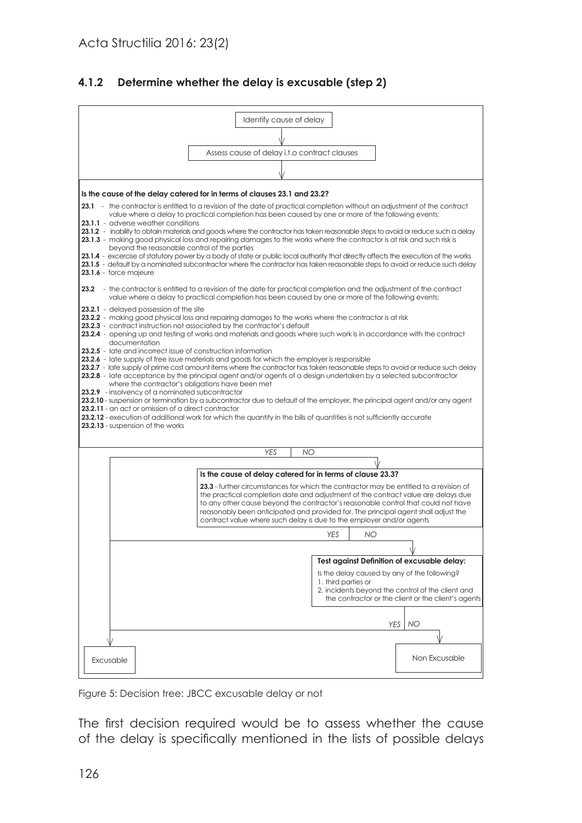#### **4.1.2 Determine whether the delay is excusable (step 2)**



Figure 5: Decision tree: JBCC excusable delay or not

The first decision required would be to assess whether the cause of the delay is specifically mentioned in the lists of possible delays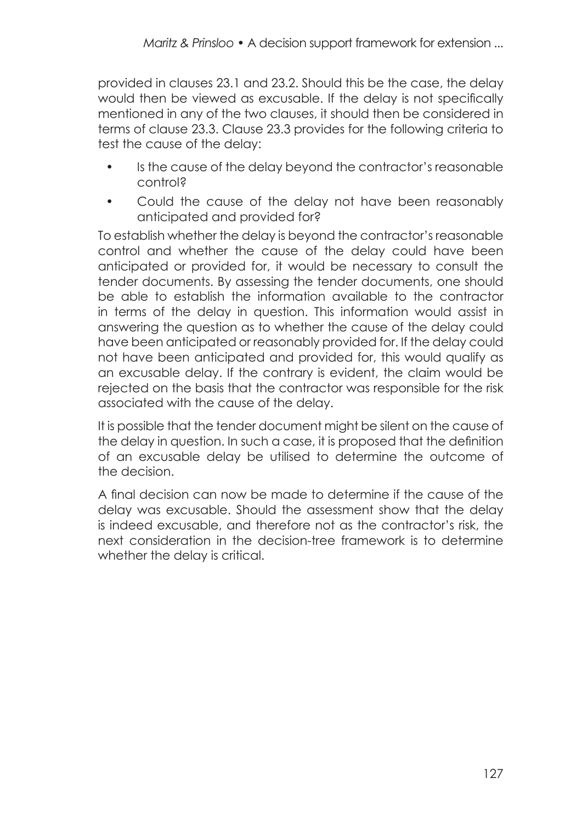provided in clauses 23.1 and 23.2. Should this be the case, the delay would then be viewed as excusable. If the delay is not specifically mentioned in any of the two clauses, it should then be considered in terms of clause 23.3. Clause 23.3 provides for the following criteria to test the cause of the delay:

- Is the cause of the delay beyond the contractor's reasonable control?
- Could the cause of the delay not have been reasonably anticipated and provided for?

To establish whether the delay is beyond the contractor's reasonable control and whether the cause of the delay could have been anticipated or provided for, it would be necessary to consult the tender documents. By assessing the tender documents, one should be able to establish the information available to the contractor in terms of the delay in question. This information would assist in answering the question as to whether the cause of the delay could have been anticipated or reasonably provided for. If the delay could not have been anticipated and provided for, this would qualify as an excusable delay. If the contrary is evident, the claim would be rejected on the basis that the contractor was responsible for the risk associated with the cause of the delay.

It is possible that the tender document might be silent on the cause of the delay in question. In such a case, it is proposed that the definition of an excusable delay be utilised to determine the outcome of the decision.

A final decision can now be made to determine if the cause of the delay was excusable. Should the assessment show that the delay is indeed excusable, and therefore not as the contractor's risk, the next consideration in the decision-tree framework is to determine whether the delay is critical.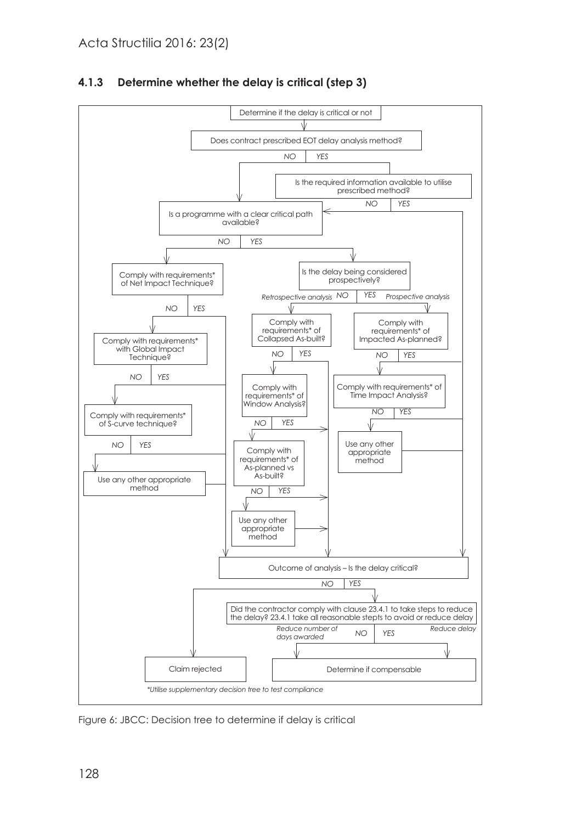

#### **4.1.3 Determine whether the delay is critical (step 3)**

Figure 6: JBCC: Decision tree to determine if delay is critical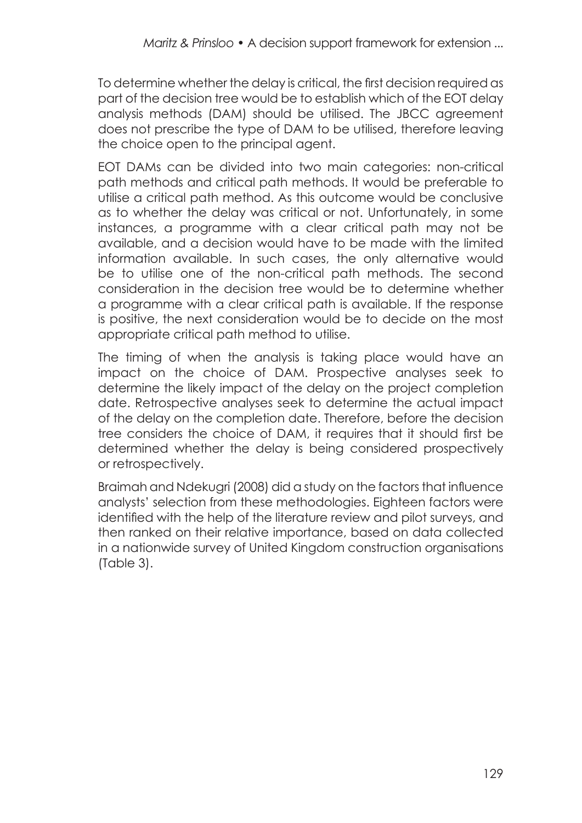To determine whether the delay is critical, the first decision required as part of the decision tree would be to establish which of the EOT delay analysis methods (DAM) should be utilised. The JBCC agreement does not prescribe the type of DAM to be utilised, therefore leaving the choice open to the principal agent.

EOT DAMs can be divided into two main categories: non-critical path methods and critical path methods. It would be preferable to utilise a critical path method. As this outcome would be conclusive as to whether the delay was critical or not. Unfortunately, in some instances, a programme with a clear critical path may not be available, and a decision would have to be made with the limited information available. In such cases, the only alternative would be to utilise one of the non-critical path methods. The second consideration in the decision tree would be to determine whether a programme with a clear critical path is available. If the response is positive, the next consideration would be to decide on the most appropriate critical path method to utilise.

The timing of when the analysis is taking place would have an impact on the choice of DAM. Prospective analyses seek to determine the likely impact of the delay on the project completion date. Retrospective analyses seek to determine the actual impact of the delay on the completion date. Therefore, before the decision tree considers the choice of DAM, it requires that it should first be determined whether the delay is being considered prospectively or retrospectively.

Braimah and Ndekugri (2008) did a study on the factors that influence analysts' selection from these methodologies. Eighteen factors were identified with the help of the literature review and pilot surveys, and then ranked on their relative importance, based on data collected in a nationwide survey of United Kingdom construction organisations (Table 3).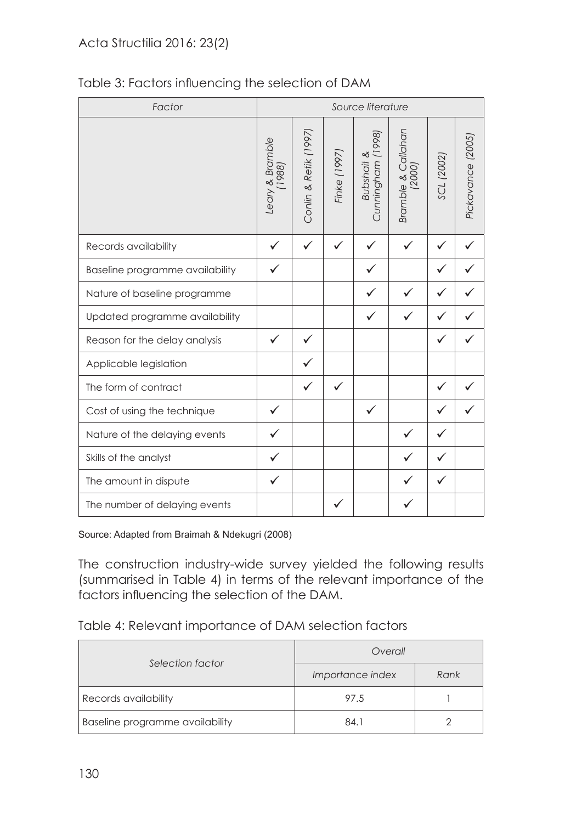## Acta Structilia 2016: 23(2)

| Factor                          |                           |                       |              | Source literature                          |                              |              |                   |
|---------------------------------|---------------------------|-----------------------|--------------|--------------------------------------------|------------------------------|--------------|-------------------|
|                                 | Leary & Bramble<br>(1988) | Conlin & Retik (1997) | Finke (1997) | Cunningham (1998)<br><b>Bubshait &amp;</b> | Bramble & Callahan<br>(2000) | SCL (2002)   | Pickavance (2005) |
| Records availability            | ✓                         | ✓                     |              |                                            | ✓                            |              |                   |
| Baseline programme availability | ✓                         |                       |              | ✓                                          |                              | $\checkmark$ |                   |
| Nature of baseline programme    |                           |                       |              | $\checkmark$                               |                              |              |                   |
| Updated programme availability  |                           |                       |              | ✓                                          |                              |              |                   |
| Reason for the delay analysis   | $\checkmark$              |                       |              |                                            |                              |              |                   |
| Applicable legislation          |                           |                       |              |                                            |                              |              |                   |
| The form of contract            |                           |                       | ✓            |                                            |                              |              |                   |
| Cost of using the technique     | ✓                         |                       |              | ✓                                          |                              |              |                   |
| Nature of the delaying events   |                           |                       |              |                                            |                              |              |                   |
| Skills of the analyst           | ✓                         |                       |              |                                            |                              |              |                   |
| The amount in dispute           | ✓                         |                       |              |                                            |                              | ✓            |                   |
| The number of delaying events   |                           |                       | $\checkmark$ |                                            | ✓                            |              |                   |

## Table 3: Factors influencing the selection of DAM

Source: Adapted from Braimah & Ndekugri (2008)

The construction industry-wide survey yielded the following results (summarised in Table 4) in terms of the relevant importance of the factors influencing the selection of the DAM.

#### Table 4: Relevant importance of DAM selection factors

| Selection factor                | Overall          |      |  |
|---------------------------------|------------------|------|--|
|                                 | Importance index | Rank |  |
| Records availability            | 97.5             |      |  |
| Baseline programme availability | 84.1             |      |  |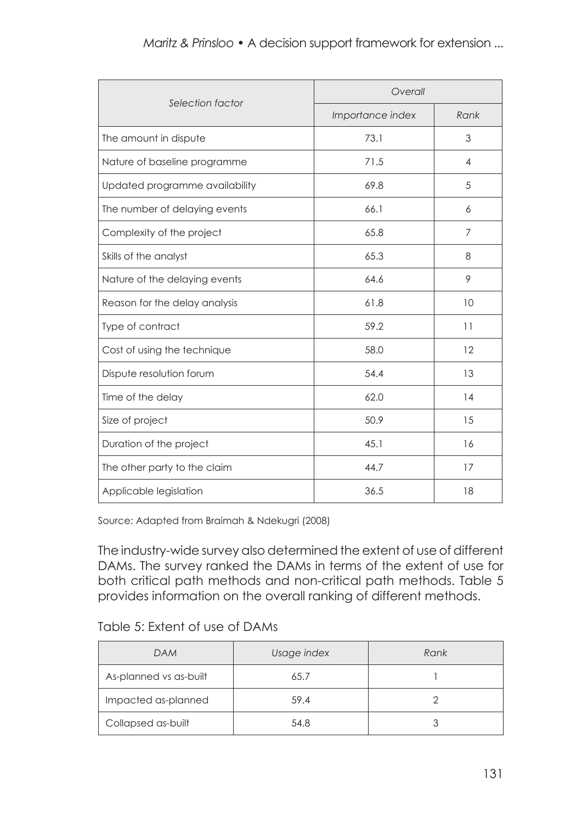| Selection factor               | Overall          |                |  |  |
|--------------------------------|------------------|----------------|--|--|
|                                | Importance index | Rank           |  |  |
| The amount in dispute          | 73.1             | 3              |  |  |
| Nature of baseline programme   | 71.5             | $\overline{4}$ |  |  |
| Updated programme availability | 69.8             | 5              |  |  |
| The number of delaying events  | 66.1             | 6              |  |  |
| Complexity of the project      | 65.8             | $\overline{7}$ |  |  |
| Skills of the analyst          | 65.3             | 8              |  |  |
| Nature of the delaying events  | 64.6             | 9              |  |  |
| Reason for the delay analysis  | 61.8             | 10             |  |  |
| Type of contract               | 59.2             | 11             |  |  |
| Cost of using the technique    | 58.0             | 12             |  |  |
| Dispute resolution forum       | 54.4             | 13             |  |  |
| Time of the delay              | 62.0             | 14             |  |  |
| Size of project                | 50.9             | 15             |  |  |
| Duration of the project        | 45.1             | 16             |  |  |
| The other party to the claim   | 44.7             | 17             |  |  |
| Applicable legislation         | 36.5             | 18             |  |  |

#### *Maritz & Prinsloo* • A decision support framework for extension ...

Source: Adapted from Braimah & Ndekugri (2008)

The industry-wide survey also determined the extent of use of different DAMs. The survey ranked the DAMs in terms of the extent of use for both critical path methods and non-critical path methods. Table 5 provides information on the overall ranking of different methods.

#### Table 5: Extent of use of DAMs

| DAM                    | Usage index | Rank |
|------------------------|-------------|------|
| As-planned vs as-built | 65.7        |      |
| Impacted as-planned    | 59.4        |      |
| Collapsed as-built     | 54.8        |      |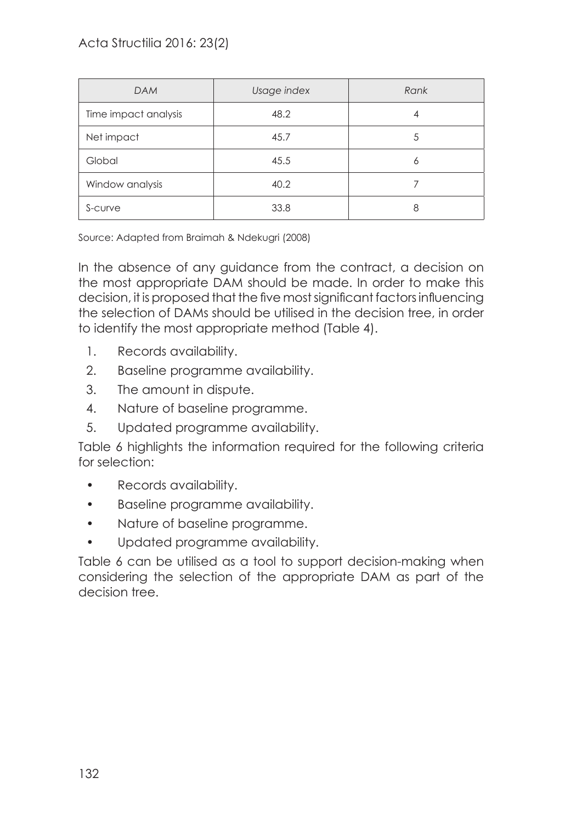| <b>DAM</b>           | Usage index | Rank |
|----------------------|-------------|------|
| Time impact analysis | 48.2        | 4    |
| Net impact           | 45.7        | 5    |
| Global               | 45.5        | Ò    |
| Window analysis      | 40.2        |      |
| S-curve              | 33.8        | 8    |

Source: Adapted from Braimah & Ndekugri (2008)

In the absence of any guidance from the contract, a decision on the most appropriate DAM should be made. In order to make this decision, it is proposed that the five most significant factors influencing the selection of DAMs should be utilised in the decision tree, in order to identify the most appropriate method (Table 4).

- 1. Records availability.
- 2. Baseline programme availability.
- 3. The amount in dispute.
- 4. Nature of baseline programme.
- 5. Updated programme availability.

Table 6 highlights the information required for the following criteria for selection:

- Records availability.
- Baseline programme availability.
- Nature of baseline programme.
- Updated programme availability.

Table 6 can be utilised as a tool to support decision-making when considering the selection of the appropriate DAM as part of the decision tree.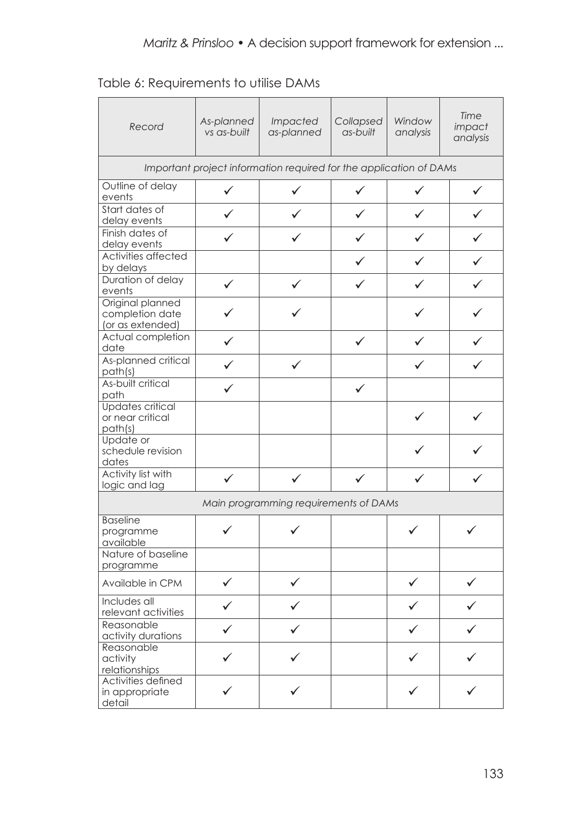| Table 6: Requirements to utilise DAMs |  |  |  |
|---------------------------------------|--|--|--|
|---------------------------------------|--|--|--|

| Record                                                             | As-planned<br>vs as-built | <i>Impacted</i><br>as-planned         | Collapsed<br>as-built | Window<br>analysis | Time<br>impact<br>analysis |  |  |  |
|--------------------------------------------------------------------|---------------------------|---------------------------------------|-----------------------|--------------------|----------------------------|--|--|--|
| Important project information required for the application of DAMs |                           |                                       |                       |                    |                            |  |  |  |
| Outline of delay<br>events                                         | ✓                         | ✓                                     | ✓                     | ✓                  | ✓                          |  |  |  |
| Start dates of<br>delay events                                     | ✓                         |                                       | ✓                     | ✓                  |                            |  |  |  |
| Finish dates of<br>delay events                                    |                           |                                       |                       | ✓                  |                            |  |  |  |
| Activities affected<br>by delays                                   |                           |                                       |                       | ✓                  |                            |  |  |  |
| Duration of delay<br>events                                        | ✓                         | ✓                                     |                       | ✓                  |                            |  |  |  |
| Original planned<br>completion date<br>(or as extended)            |                           |                                       |                       |                    |                            |  |  |  |
| Actual completion<br>date                                          | ✓                         |                                       | ✓                     | ✓                  |                            |  |  |  |
| As-planned critical<br>path(s)                                     | ✓                         | $\checkmark$                          |                       | ✓                  |                            |  |  |  |
| As-built critical<br>path                                          | ✓                         |                                       | ✓                     |                    |                            |  |  |  |
| <b>Updates critical</b><br>or near critical<br>path(s)             |                           |                                       |                       | ✓                  |                            |  |  |  |
| Update or<br>schedule revision<br>dates                            |                           |                                       |                       |                    |                            |  |  |  |
| Activity list with<br>logic and lag                                | ✓                         | ✓                                     | ✓                     | ✓                  |                            |  |  |  |
|                                                                    |                           | Main programming requirements of DAMs |                       |                    |                            |  |  |  |
| <b>Baseline</b><br>programme<br>available                          | ✓                         |                                       |                       | ✓                  | ✓                          |  |  |  |
| Nature of baseline<br>programme                                    |                           |                                       |                       |                    |                            |  |  |  |
| Available in CPM                                                   | ✓                         |                                       |                       | ✓                  |                            |  |  |  |
| Includes all<br>relevant activities                                | ✓                         |                                       |                       |                    |                            |  |  |  |
| Reasonable<br>activity durations                                   |                           |                                       |                       |                    |                            |  |  |  |
| Reasonable<br>activity<br>relationships                            |                           |                                       |                       |                    |                            |  |  |  |
| Activities defined<br>in appropriate<br>detail                     |                           |                                       |                       |                    |                            |  |  |  |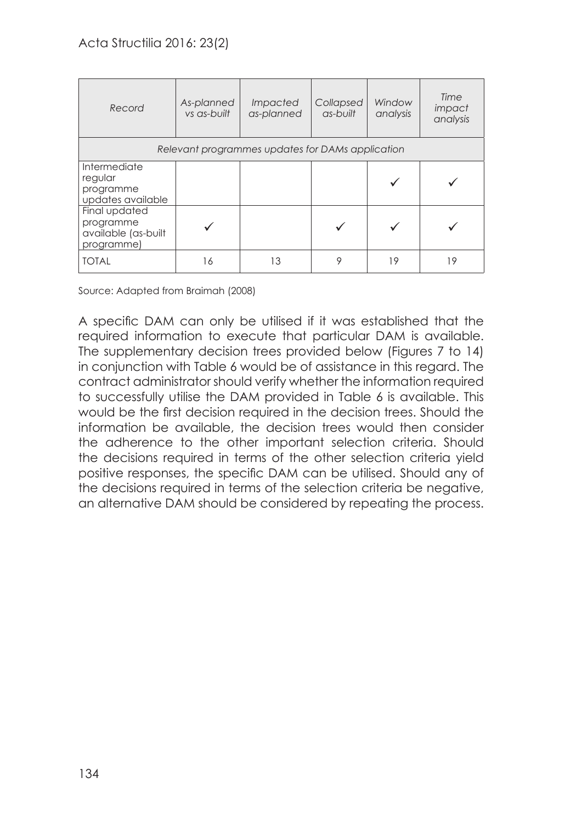| Record                                                          | As-planned<br>vs as-built                        | <i>Impacted</i><br>as-planned | Collapsed<br>$as$ -built | Window<br>analysis | Time<br>impact<br>analysis |  |  |  |
|-----------------------------------------------------------------|--------------------------------------------------|-------------------------------|--------------------------|--------------------|----------------------------|--|--|--|
|                                                                 | Relevant programmes updates for DAMs application |                               |                          |                    |                            |  |  |  |
| Intermediate<br>regular<br>programme<br>updates available       |                                                  |                               |                          |                    |                            |  |  |  |
| Final updated<br>programme<br>available (as-built<br>programme) |                                                  |                               |                          |                    |                            |  |  |  |
| <b>TOTAL</b>                                                    | 16                                               | 13                            | 9                        | 19                 | 19                         |  |  |  |

Source: Adapted from Braimah (2008)

A specific DAM can only be utilised if it was established that the required information to execute that particular DAM is available. The supplementary decision trees provided below (Figures 7 to 14) in conjunction with Table 6 would be of assistance in this regard. The contract administrator should verify whether the information required to successfully utilise the DAM provided in Table 6 is available. This would be the first decision required in the decision trees. Should the information be available, the decision trees would then consider the adherence to the other important selection criteria. Should the decisions required in terms of the other selection criteria yield positive responses, the specific DAM can be utilised. Should any of the decisions required in terms of the selection criteria be negative, an alternative DAM should be considered by repeating the process.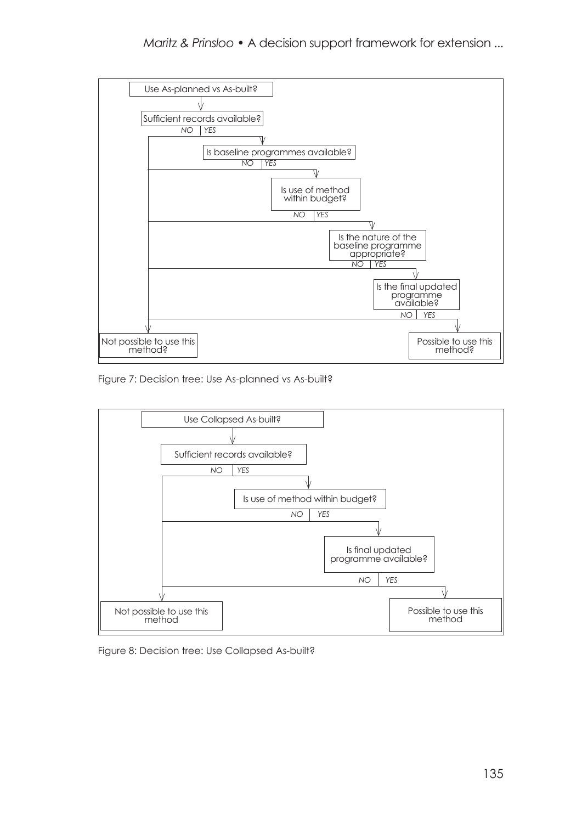

Figure 7: Decision tree: Use As-planned vs As-built?



Figure 8: Decision tree: Use Collapsed As-built?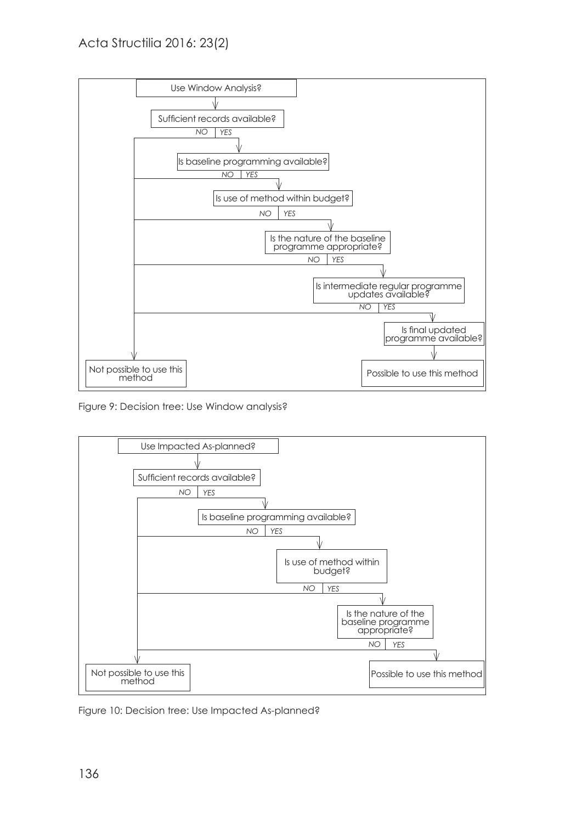

Figure 9: Decision tree: Use Window analysis?



Figure 10: Decision tree: Use Impacted As-planned?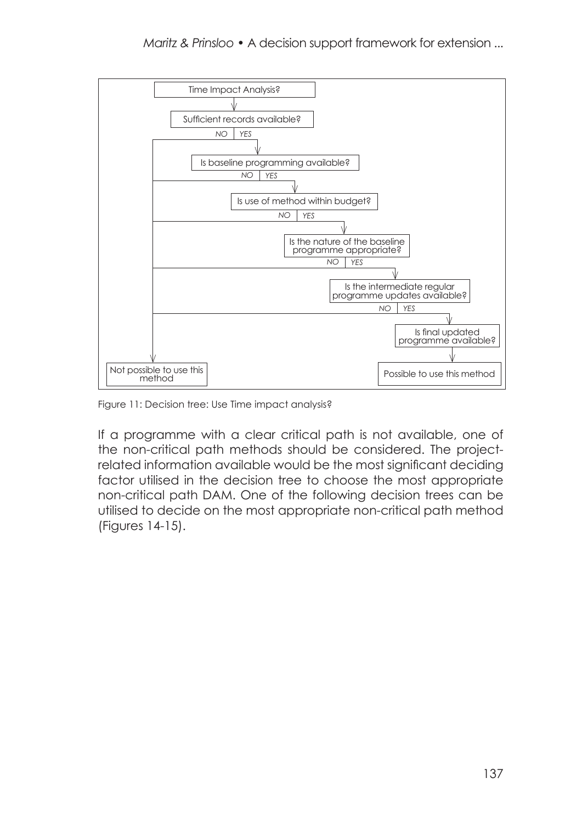

Figure 11: Decision tree: Use Time impact analysis?

If a programme with a clear critical path is not available, one of the non-critical path methods should be considered. The projectrelated information available would be the most significant deciding factor utilised in the decision tree to choose the most appropriate non-critical path DAM. One of the following decision trees can be utilised to decide on the most appropriate non-critical path method (Figures 14-15).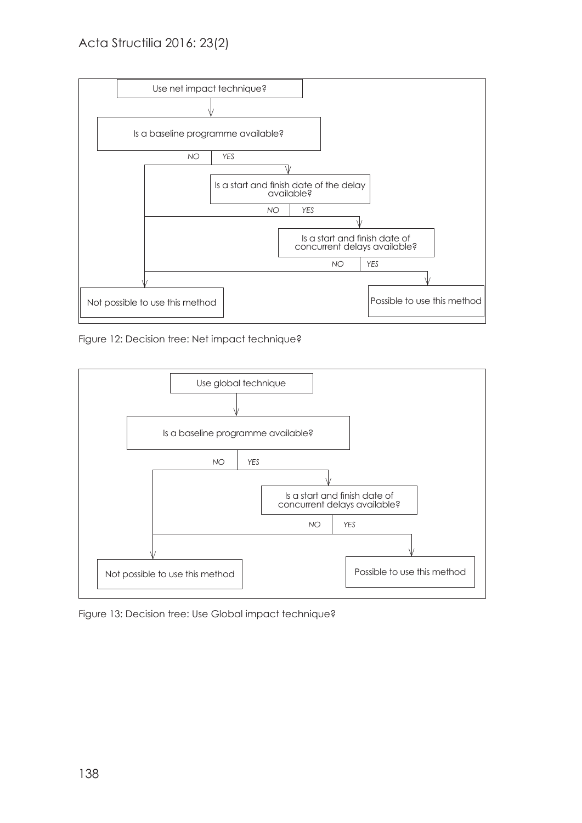

Figure 12: Decision tree: Net impact technique?



Figure 13: Decision tree: Use Global impact technique?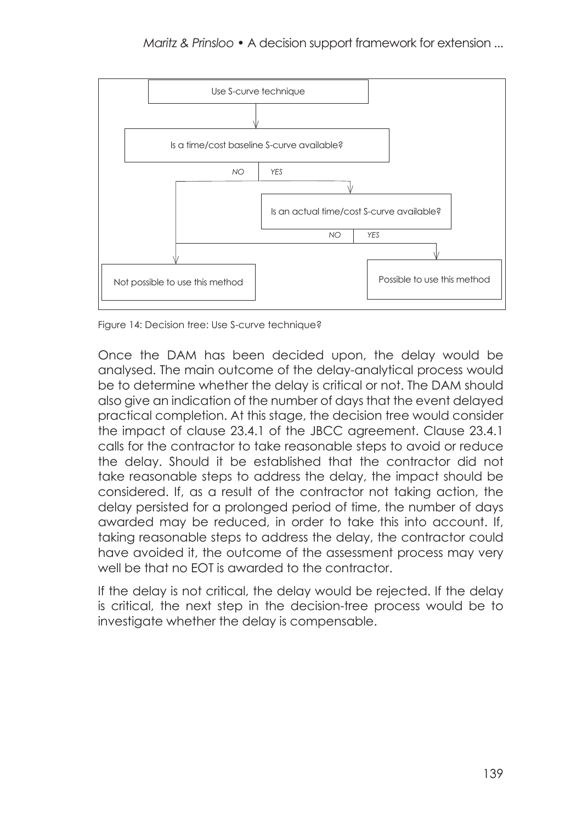

Figure 14: Decision tree: Use S-curve technique?

Once the DAM has been decided upon, the delay would be analysed. The main outcome of the delay-analytical process would be to determine whether the delay is critical or not. The DAM should also give an indication of the number of days that the event delayed practical completion. At this stage, the decision tree would consider the impact of clause 23.4.1 of the JBCC agreement. Clause 23.4.1 calls for the contractor to take reasonable steps to avoid or reduce the delay. Should it be established that the contractor did not take reasonable steps to address the delay, the impact should be considered. If, as a result of the contractor not taking action, the delay persisted for a prolonged period of time, the number of days awarded may be reduced, in order to take this into account. If, taking reasonable steps to address the delay, the contractor could have avoided it, the outcome of the assessment process may very well be that no EOT is awarded to the contractor.

If the delay is not critical, the delay would be rejected. If the delay is critical, the next step in the decision-tree process would be to investigate whether the delay is compensable.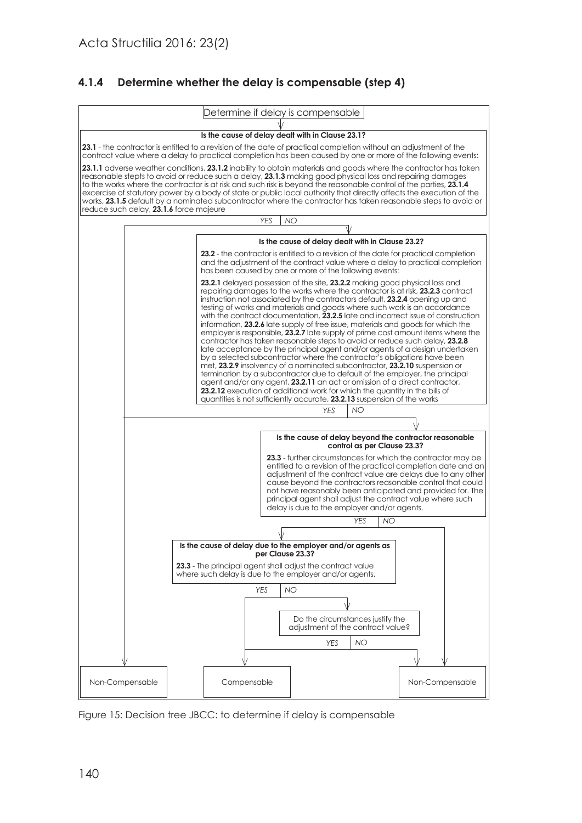#### **4.1.4 Determine whether the delay is compensable (step 4)**



Figure 15: Decision tree JBCC: to determine if delay is compensable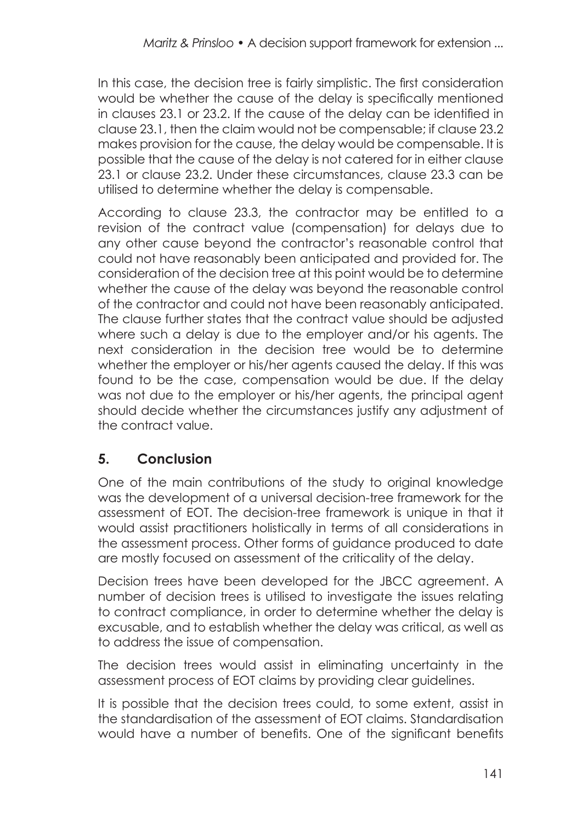In this case, the decision tree is fairly simplistic. The first consideration would be whether the cause of the delay is specifically mentioned in clauses 23.1 or 23.2. If the cause of the delay can be identified in clause 23.1, then the claim would not be compensable; if clause 23.2 makes provision for the cause, the delay would be compensable. It is possible that the cause of the delay is not catered for in either clause 23.1 or clause 23.2. Under these circumstances, clause 23.3 can be utilised to determine whether the delay is compensable.

According to clause 23.3, the contractor may be entitled to a revision of the contract value (compensation) for delays due to any other cause beyond the contractor's reasonable control that could not have reasonably been anticipated and provided for. The consideration of the decision tree at this point would be to determine whether the cause of the delay was beyond the reasonable control of the contractor and could not have been reasonably anticipated. The clause further states that the contract value should be adjusted where such a delay is due to the employer and/or his agents. The next consideration in the decision tree would be to determine whether the employer or his/her agents caused the delay. If this was found to be the case, compensation would be due. If the delay was not due to the employer or his/her agents, the principal agent should decide whether the circumstances justify any adjustment of the contract value.

# **5. Conclusion**

One of the main contributions of the study to original knowledge was the development of a universal decision-tree framework for the assessment of EOT. The decision-tree framework is unique in that it would assist practitioners holistically in terms of all considerations in the assessment process. Other forms of guidance produced to date are mostly focused on assessment of the criticality of the delay.

Decision trees have been developed for the JBCC agreement. A number of decision trees is utilised to investigate the issues relating to contract compliance, in order to determine whether the delay is excusable, and to establish whether the delay was critical, as well as to address the issue of compensation.

The decision trees would assist in eliminating uncertainty in the assessment process of EOT claims by providing clear guidelines.

It is possible that the decision trees could, to some extent, assist in the standardisation of the assessment of EOT claims. Standardisation would have a number of benefits. One of the significant benefits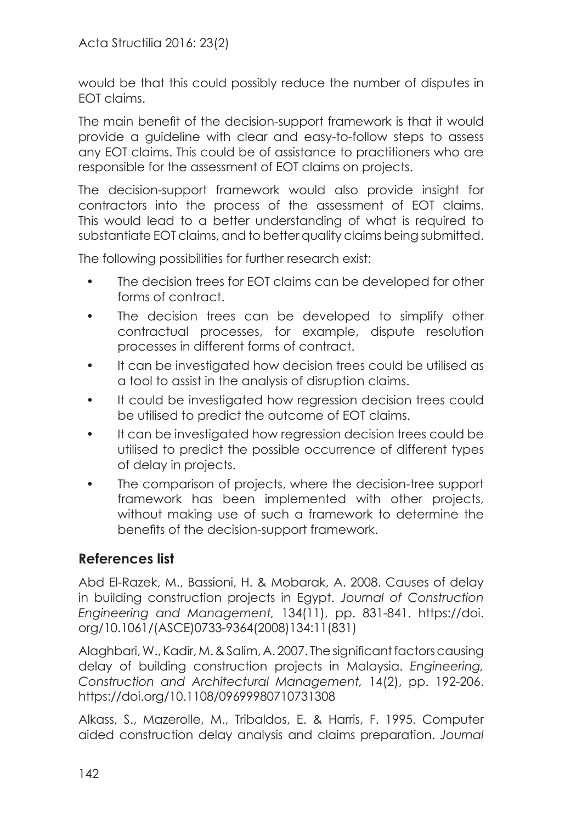would be that this could possibly reduce the number of disputes in EOT claims.

The main benefit of the decision-support framework is that it would provide a guideline with clear and easy-to-follow steps to assess any EOT claims. This could be of assistance to practitioners who are responsible for the assessment of EOT claims on projects.

The decision-support framework would also provide insight for contractors into the process of the assessment of EOT claims. This would lead to a better understanding of what is required to substantiate EOT claims, and to better quality claims being submitted.

The following possibilities for further research exist:

- The decision trees for EOT claims can be developed for other forms of contract.
- The decision trees can be developed to simplify other contractual processes, for example, dispute resolution processes in different forms of contract.
- It can be investigated how decision trees could be utilised as a tool to assist in the analysis of disruption claims.
- It could be investigated how regression decision trees could be utilised to predict the outcome of EOT claims.
- It can be investigated how regression decision trees could be utilised to predict the possible occurrence of different types of delay in projects.
- The comparison of projects, where the decision-tree support framework has been implemented with other projects, without making use of such a framework to determine the benefits of the decision-support framework.

## **References list**

Abd El-Razek, M., Bassioni, H. & Mobarak, A. 2008. Causes of delay in building construction projects in Egypt. *Journal of Construction Engineering and Management,* 134(11), pp. 831-841. [https://doi.](https://doi.org/10.1061/(ASCE)0733-9364(2008)134:11(831)) [org/10.1061/\(ASCE\)0733-9364\(2008\)134:11\(831\)](https://doi.org/10.1061/(ASCE)0733-9364(2008)134:11(831))

Alaghbari, W., Kadir, M. & Salim, A. 2007. The significant factors causing delay of building construction projects in Malaysia. *Engineering, Construction and Architectural Management,* 14(2), pp. 192-206. <https://doi.org/10.1108/09699980710731308>

Alkass, S., Mazerolle, M., Tribaldos, E. & Harris, F. 1995. Computer aided construction delay analysis and claims preparation. *Journal*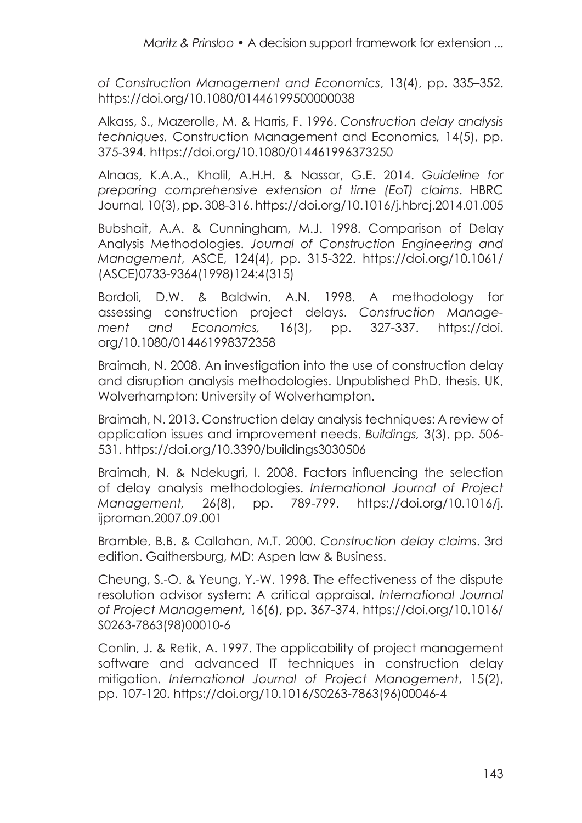*of Construction Management and Economics*, 13(4), pp. 335–352. <https://doi.org/10.1080/01446199500000038>

Alkass, S., Mazerolle, M. & Harris, F. 1996. *Construction delay analysis techniques.* Construction Management and Economics*,* 14(5), pp. 375-394.<https://doi.org/10.1080/014461996373250>

Alnaas, K.A.A., Khalil, A.H.H. & Nassar, G.E. 2014. *Guideline for preparing comprehensive extension of time (EoT) claims*. HBRC Journal*,* 10(3), pp. 308-316.<https://doi.org/10.1016/j.hbrcj.2014.01.005>

Bubshait, A.A. & Cunningham, M.J. 1998. Comparison of Delay Analysis Methodologies. *Journal of Construction Engineering and Management*, ASCE, 124(4), pp. 315-322. [https://doi.org/10.1061/](https://doi.org/10.1061/(ASCE)0733-9364(1998)124:4(315)) [\(ASCE\)0733-9364\(1998\)124:4\(315\)](https://doi.org/10.1061/(ASCE)0733-9364(1998)124:4(315))

Bordoli, D.W. & Baldwin, A.N. 1998. A methodology for assessing construction project delays. *Construction Management and Economics,* 16(3), pp. 327-337. [https://doi.](https://doi.org/10.1080/014461998372358) [org/10.1080/014461998372358](https://doi.org/10.1080/014461998372358)

Braimah, N. 2008. An investigation into the use of construction delay and disruption analysis methodologies. Unpublished PhD. thesis. UK, Wolverhampton: University of Wolverhampton.

Braimah, N. 2013. Construction delay analysis techniques: A review of application issues and improvement needs. *Buildings,* 3(3), pp. 506- 531. <https://doi.org/10.3390/buildings3030506>

Braimah, N. & Ndekugri, I. 2008. Factors influencing the selection of delay analysis methodologies. *International Journal of Project Management,* 26(8), pp. 789-799. [https://doi.org/10.1016/j.](https://doi.org/10.1016/j.ijproman.2007.09.001) [ijproman.2007.09.001](https://doi.org/10.1016/j.ijproman.2007.09.001)

Bramble, B.B. & Callahan, M.T. 2000. *Construction delay claims*. 3rd edition. Gaithersburg, MD: Aspen law & Business.

Cheung, S.-O. & Yeung, Y.-W. 1998. The effectiveness of the dispute resolution advisor system: A critical appraisal. *International Journal of Project Management,* 16(6), pp. 367-374. [https://doi.org/10.1016/](https://doi.org/10.1016/S0263-7863(98)00010-6) [S0263-7863\(98\)00010-6](https://doi.org/10.1016/S0263-7863(98)00010-6)

Conlin, J. & Retik, A. 1997. The applicability of project management software and advanced IT techniques in construction delay mitigation. *International Journal of Project Management*, 15(2), pp. 107-120. [https://doi.org/10.1016/S0263-7863\(96\)00046-4](https://doi.org/10.1016/S0263-7863(96)00046-4)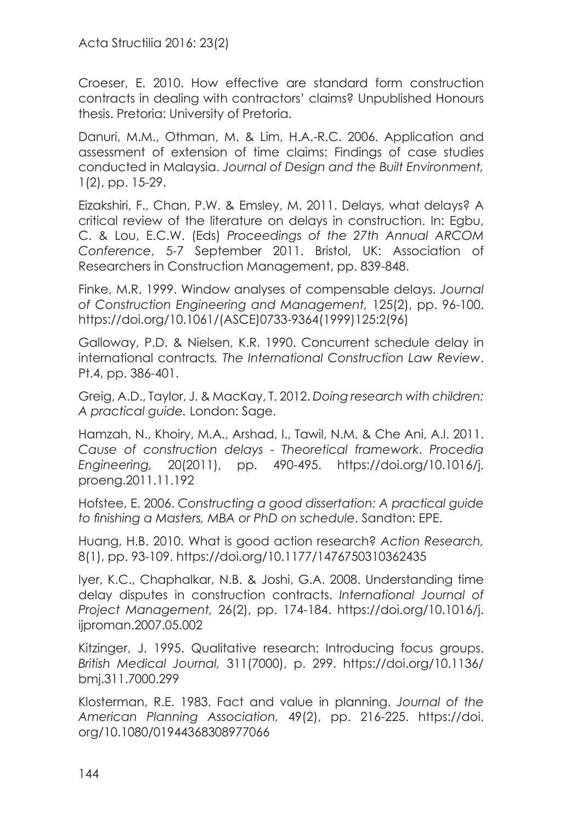Acta Structilia 2016: 23(2)

Croeser, E. 2010. How effective are standard form construction contracts in dealing with contractors' claims? Unpublished Honours thesis. Pretoria: University of Pretoria.

Danuri, M.M., Othman, M. & Lim, H.A.-R.C. 2006. Application and assessment of extension of time claims: Findings of case studies conducted in Malaysia. *Journal of Design and the Built Environment,*  1(2), pp. 15-29.

Eizakshiri, F., Chan, P.W. & Emsley, M. 2011. Delays, what delays? A critical review of the literature on delays in construction. In: Egbu, C. & Lou, E.C.W. (Eds) *Proceedings of the 27th Annual ARCOM Conference*, 5-7 September 2011. Bristol, UK: Association of Researchers in Construction Management, pp. 839-848.

Finke, M.R. 1999. Window analyses of compensable delays. *Journal of Construction Engineering and Management,* 125(2), pp. 96-100. [https://doi.org/10.1061/\(ASCE\)0733-9364\(1999\)125:2\(96\)](https://doi.org/10.1061/(ASCE)0733-9364(1999)125:2(96))

Galloway, P.D. & Nielsen, K.R. 1990. Concurrent schedule delay in international contracts*. The International Construction Law Review*. Pt.4, pp. 386-401.

Greig, A.D., Taylor, J. & MacKay, T. 2012. *Doing research with children: A practical guide.* London: Sage.

Hamzah, N., Khoiry, M.A., Arshad, I., Tawil, N.M. & Che Ani, A.I. 2011. *Cause of construction delays - Theoretical framework*. *Procedia Engineering,* 20(2011), pp. 490-495. [https://doi.org/10.1016/j.](https://doi.org/10.1016/j.proeng.2011.11.192) [proeng.2011.11.192](https://doi.org/10.1016/j.proeng.2011.11.192)

Hofstee, E. 2006. *Constructing a good dissertation: A practical guide to finishing a Masters, MBA or PhD on schedule*. Sandton: EPE.

Huang, H.B. 2010. What is good action research? *Action Research,*  8(1), pp. 93-109. <https://doi.org/10.1177/1476750310362435>

Iyer, K.C., Chaphalkar, N.B. & Joshi, G.A. 2008. Understanding time delay disputes in construction contracts. *International Journal of Project Management,* 26(2), pp. 174-184. [https://doi.org/10.1016/j.](https://doi.org/10.1016/j.ijproman.2007.05.002) [ijproman.2007.05.002](https://doi.org/10.1016/j.ijproman.2007.05.002)

Kitzinger, J. 1995. Qualitative research: Introducing focus groups. *British Medical Journal,* 311(7000), p. 299. [https://doi.org/10.1136/](https://doi.org/10.1136/bmj.311.7000.299) [bmj.311.7000.299](https://doi.org/10.1136/bmj.311.7000.299)

Klosterman, R.E. 1983. Fact and value in planning. *Journal of the American Planning Association,* 49(2), pp. 216-225. [https://doi.](https://doi.org/10.1080/01944368308977066) [org/10.1080/01944368308977066](https://doi.org/10.1080/01944368308977066)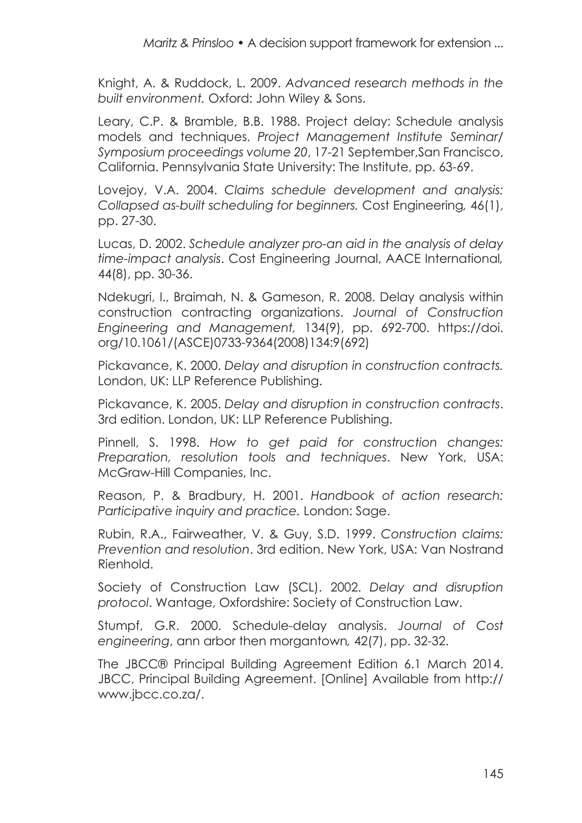Knight, A. & Ruddock, L. 2009. *Advanced research methods in the built environment.* Oxford: John Wiley & Sons.

Leary, C.P. & Bramble, B.B. 1988. Project delay: Schedule analysis models and techniques. *Project Management Institute Seminar/ Symposium proceedings volume 20*, 17-21 September,San Francisco, California. Pennsylvania State University: The Institute, pp. 63-69.

Lovejoy, V.A. 2004. *Claims schedule development and analysis: Collapsed as-built scheduling for beginners.* Cost Engineering*,* 46(1), pp. 27-30.

Lucas, D. 2002. *Schedule analyzer pro-an aid in the analysis of delay time-impact analysis*. Cost Engineering Journal, AACE International*,*  44(8), pp. 30-36.

Ndekugri, I., Braimah, N. & Gameson, R. 2008. Delay analysis within construction contracting organizations. *Journal of Construction Engineering and Management,* 134(9), pp. 692-700. [https://doi.](https://doi.org/10.1061/(ASCE)0733-9364(2008)134:9(692)) [org/10.1061/\(ASCE\)0733-9364\(2008\)134:9\(692\)](https://doi.org/10.1061/(ASCE)0733-9364(2008)134:9(692))

Pickavance, K. 2000. *Delay and disruption in construction contracts.* London, UK: LLP Reference Publishing.

Pickavance, K. 2005. *Delay and disruption in construction contracts*. 3rd edition. London, UK: LLP Reference Publishing.

Pinnell, S. 1998. *How to get paid for construction changes: Preparation, resolution tools and techniques*. New York, USA: McGraw-Hill Companies, Inc.

Reason, P. & Bradbury, H. 2001. *Handbook of action research: Participative inquiry and practice.* London: Sage.

Rubin, R.A., Fairweather, V. & Guy, S.D. 1999. *Construction claims: Prevention and resolution*. 3rd edition. New York, USA: Van Nostrand Rienhold.

Society of Construction Law (SCL). 2002. *Delay and disruption protocol*. Wantage, Oxfordshire: Society of Construction Law.

Stumpf, G.R. 2000. Schedule-delay analysis. *Journal of Cost engineering*, ann arbor then morgantown*,* 42(7), pp. 32-32.

The JBCC® Principal Building Agreement Edition 6.1 March 2014. JBCC, Principal Building Agreement. [Online] Available from [http://](http://www.jbcc.co.za) [www.jbcc.co.za](http://www.jbcc.co.za)/.